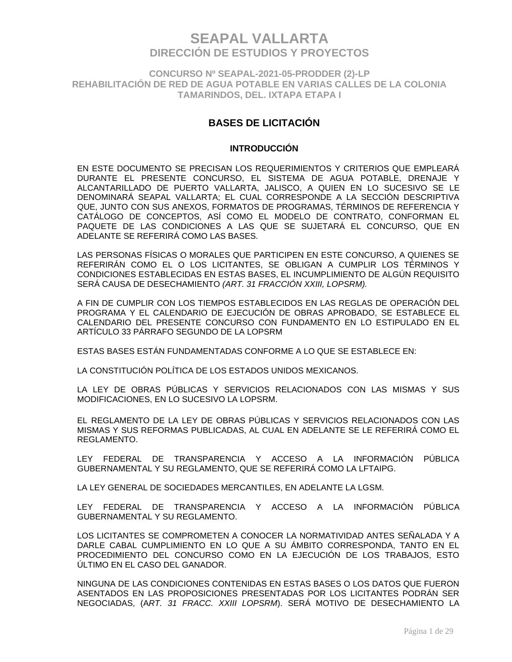**CONCURSO Nº SEAPAL-2021-05-PRODDER (2)-LP REHABILITACIÓN DE RED DE AGUA POTABLE EN VARIAS CALLES DE LA COLONIA TAMARINDOS, DEL. IXTAPA ETAPA I**

### **BASES DE LICITACIÓN**

### **INTRODUCCIÓN**

EN ESTE DOCUMENTO SE PRECISAN LOS REQUERIMIENTOS Y CRITERIOS QUE EMPLEARÁ DURANTE EL PRESENTE CONCURSO, EL SISTEMA DE AGUA POTABLE, DRENAJE Y ALCANTARILLADO DE PUERTO VALLARTA, JALISCO, A QUIEN EN LO SUCESIVO SE LE DENOMINARÁ SEAPAL VALLARTA; EL CUAL CORRESPONDE A LA SECCIÓN DESCRIPTIVA QUE, JUNTO CON SUS ANEXOS, FORMATOS DE PROGRAMAS, TÉRMINOS DE REFERENCIA Y CATÁLOGO DE CONCEPTOS, ASÍ COMO EL MODELO DE CONTRATO, CONFORMAN EL PAQUETE DE LAS CONDICIONES A LAS QUE SE SUJETARÁ EL CONCURSO, QUE EN ADELANTE SE REFERIRÁ COMO LAS BASES.

LAS PERSONAS FÍSICAS O MORALES QUE PARTICIPEN EN ESTE CONCURSO, A QUIENES SE REFERIRÁN COMO EL O LOS LICITANTES, SE OBLIGAN A CUMPLIR LOS TÉRMINOS Y CONDICIONES ESTABLECIDAS EN ESTAS BASES, EL INCUMPLIMIENTO DE ALGÚN REQUISITO SERÁ CAUSA DE DESECHAMIENTO *(ART. 31 FRACCIÓN XXIII, LOPSRM).*

A FIN DE CUMPLIR CON LOS TIEMPOS ESTABLECIDOS EN LAS REGLAS DE OPERACIÓN DEL PROGRAMA Y EL CALENDARIO DE EJECUCIÓN DE OBRAS APROBADO, SE ESTABLECE EL CALENDARIO DEL PRESENTE CONCURSO CON FUNDAMENTO EN LO ESTIPULADO EN EL ARTÍCULO 33 PÁRRAFO SEGUNDO DE LA LOPSRM

ESTAS BASES ESTÁN FUNDAMENTADAS CONFORME A LO QUE SE ESTABLECE EN:

LA CONSTITUCIÓN POLÍTICA DE LOS ESTADOS UNIDOS MEXICANOS.

LA LEY DE OBRAS PÚBLICAS Y SERVICIOS RELACIONADOS CON LAS MISMAS Y SUS MODIFICACIONES, EN LO SUCESIVO LA LOPSRM.

EL REGLAMENTO DE LA LEY DE OBRAS PÚBLICAS Y SERVICIOS RELACIONADOS CON LAS MISMAS Y SUS REFORMAS PUBLICADAS, AL CUAL EN ADELANTE SE LE REFERIRÁ COMO EL REGLAMENTO.

LEY FEDERAL DE TRANSPARENCIA Y ACCESO A LA INFORMACIÓN PÚBLICA GUBERNAMENTAL Y SU REGLAMENTO, QUE SE REFERIRÁ COMO LA LFTAIPG.

LA LEY GENERAL DE SOCIEDADES MERCANTILES, EN ADELANTE LA LGSM.

LEY FEDERAL DE TRANSPARENCIA Y ACCESO A LA INFORMACIÓN PÚBLICA GUBERNAMENTAL Y SU REGLAMENTO.

LOS LICITANTES SE COMPROMETEN A CONOCER LA NORMATIVIDAD ANTES SEÑALADA Y A DARLE CABAL CUMPLIMIENTO EN LO QUE A SU ÁMBITO CORRESPONDA, TANTO EN EL PROCEDIMIENTO DEL CONCURSO COMO EN LA EJECUCIÓN DE LOS TRABAJOS, ESTO ÚLTIMO EN EL CASO DEL GANADOR.

NINGUNA DE LAS CONDICIONES CONTENIDAS EN ESTAS BASES O LOS DATOS QUE FUERON ASENTADOS EN LAS PROPOSICIONES PRESENTADAS POR LOS LICITANTES PODRÁN SER NEGOCIADAS, (A*RT. 31 FRACC. XXIII LOPSRM*). SERÁ MOTIVO DE DESECHAMIENTO LA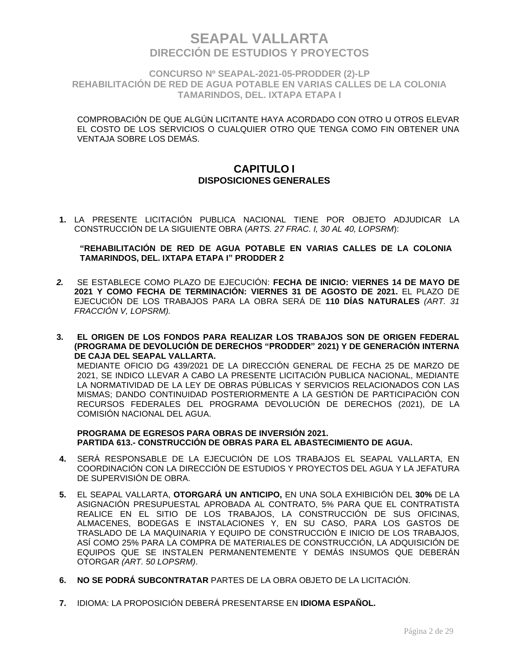**CONCURSO Nº SEAPAL-2021-05-PRODDER (2)-LP REHABILITACIÓN DE RED DE AGUA POTABLE EN VARIAS CALLES DE LA COLONIA TAMARINDOS, DEL. IXTAPA ETAPA I**

COMPROBACIÓN DE QUE ALGÚN LICITANTE HAYA ACORDADO CON OTRO U OTROS ELEVAR EL COSTO DE LOS SERVICIOS O CUALQUIER OTRO QUE TENGA COMO FIN OBTENER UNA VENTAJA SOBRE LOS DEMÁS.

### **CAPITULO I DISPOSICIONES GENERALES**

**1.** LA PRESENTE LICITACIÓN PUBLICA NACIONAL TIENE POR OBJETO ADJUDICAR LA CONSTRUCCIÓN DE LA SIGUIENTE OBRA (*ARTS. 27 FRAC. I, 30 AL 40, LOPSRM*):

#### **"REHABILITACIÓN DE RED DE AGUA POTABLE EN VARIAS CALLES DE LA COLONIA TAMARINDOS, DEL. IXTAPA ETAPA I" PRODDER 2**

- *2.* SE ESTABLECE COMO PLAZO DE EJECUCIÓN: **FECHA DE INICIO: VIERNES 14 DE MAYO DE 2021 Y COMO FECHA DE TERMINACIÓN: VIERNES 31 DE AGOSTO DE 2021.** EL PLAZO DE EJECUCIÓN DE LOS TRABAJOS PARA LA OBRA SERÁ DE **110 DÍAS NATURALES** *(ART. 31 FRACCIÓN V, LOPSRM).*
- **3. EL ORIGEN DE LOS FONDOS PARA REALIZAR LOS TRABAJOS SON DE ORIGEN FEDERAL (PROGRAMA DE DEVOLUCIÓN DE DERECHOS "PRODDER" 2021) Y DE GENERACIÓN INTERNA DE CAJA DEL SEAPAL VALLARTA.**  MEDIANTE OFICIO DG 439/2021 DE LA DIRECCIÓN GENERAL DE FECHA 25 DE MARZO DE 2021, SE INDICO LLEVAR A CABO LA PRESENTE LICITACIÓN PUBLICA NACIONAL, MEDIANTE LA NORMATIVIDAD DE LA LEY DE OBRAS PÚBLICAS Y SERVICIOS RELACIONADOS CON LAS MISMAS; DANDO CONTINUIDAD POSTERIORMENTE A LA GESTIÓN DE PARTICIPACIÓN CON RECURSOS FEDERALES DEL PROGRAMA DEVOLUCIÓN DE DERECHOS (2021), DE LA

### **PROGRAMA DE EGRESOS PARA OBRAS DE INVERSIÓN 2021. PARTIDA 613.- CONSTRUCCIÓN DE OBRAS PARA EL ABASTECIMIENTO DE AGUA.**

COMISIÓN NACIONAL DEL AGUA.

- **4.** SERÁ RESPONSABLE DE LA EJECUCIÓN DE LOS TRABAJOS EL SEAPAL VALLARTA, EN COORDINACIÓN CON LA DIRECCIÓN DE ESTUDIOS Y PROYECTOS DEL AGUA Y LA JEFATURA DE SUPERVISIÓN DE OBRA.
- **5.** EL SEAPAL VALLARTA, **OTORGARÁ UN ANTICIPO,** EN UNA SOLA EXHIBICIÓN DEL **30%** DE LA ASIGNACIÓN PRESUPUESTAL APROBADA AL CONTRATO, 5% PARA QUE EL CONTRATISTA REALICE EN EL SITIO DE LOS TRABAJOS, LA CONSTRUCCIÓN DE SUS OFICINAS, ALMACENES, BODEGAS E INSTALACIONES Y, EN SU CASO, PARA LOS GASTOS DE TRASLADO DE LA MAQUINARIA Y EQUIPO DE CONSTRUCCIÓN E INICIO DE LOS TRABAJOS, ASÍ COMO 25% PARA LA COMPRA DE MATERIALES DE CONSTRUCCIÓN, LA ADQUISICIÓN DE EQUIPOS QUE SE INSTALEN PERMANENTEMENTE Y DEMÁS INSUMOS QUE DEBERÁN OTORGAR *(ART. 50 LOPSRM)*.
- **6. NO SE PODRÁ SUBCONTRATAR** PARTES DE LA OBRA OBJETO DE LA LICITACIÓN.
- **7.** IDIOMA: LA PROPOSICIÓN DEBERÁ PRESENTARSE EN **IDIOMA ESPAÑOL.**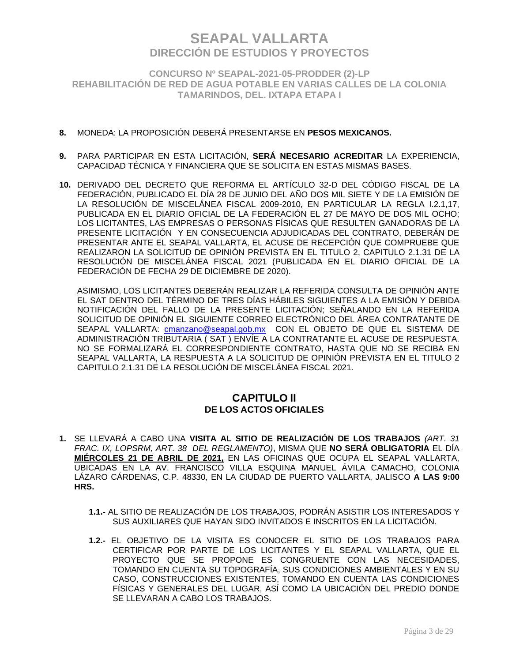**CONCURSO Nº SEAPAL-2021-05-PRODDER (2)-LP REHABILITACIÓN DE RED DE AGUA POTABLE EN VARIAS CALLES DE LA COLONIA TAMARINDOS, DEL. IXTAPA ETAPA I**

### **8.** MONEDA: LA PROPOSICIÓN DEBERÁ PRESENTARSE EN **PESOS MEXICANOS.**

- **9.** PARA PARTICIPAR EN ESTA LICITACIÓN, **SERÁ NECESARIO ACREDITAR** LA EXPERIENCIA, CAPACIDAD TÉCNICA Y FINANCIERA QUE SE SOLICITA EN ESTAS MISMAS BASES.
- **10.** DERIVADO DEL DECRETO QUE REFORMA EL ARTÍCULO 32-D DEL CÓDIGO FISCAL DE LA FEDERACIÓN, PUBLICADO EL DÍA 28 DE JUNIO DEL AÑO DOS MIL SIETE Y DE LA EMISIÓN DE LA RESOLUCIÓN DE MISCELÁNEA FISCAL 2009-2010, EN PARTICULAR LA REGLA I.2.1,17, PUBLICADA EN EL DIARIO OFICIAL DE LA FEDERACIÓN EL 27 DE MAYO DE DOS MIL OCHO; LOS LICITANTES, LAS EMPRESAS O PERSONAS FÍSICAS QUE RESULTEN GANADORAS DE LA PRESENTE LICITACIÓN Y EN CONSECUENCIA ADJUDICADAS DEL CONTRATO, DEBERÁN DE PRESENTAR ANTE EL SEAPAL VALLARTA, EL ACUSE DE RECEPCIÓN QUE COMPRUEBE QUE REALIZARON LA SOLICITUD DE OPINIÓN PREVISTA EN EL TITULO 2, CAPITULO 2.1.31 DE LA RESOLUCIÓN DE MISCELÁNEA FISCAL 2021 (PUBLICADA EN EL DIARIO OFICIAL DE LA FEDERACIÓN DE FECHA 29 DE DICIEMBRE DE 2020).

ASIMISMO, LOS LICITANTES DEBERÁN REALIZAR LA REFERIDA CONSULTA DE OPINIÓN ANTE EL SAT DENTRO DEL TÉRMINO DE TRES DÍAS HÁBILES SIGUIENTES A LA EMISIÓN Y DEBIDA NOTIFICACIÓN DEL FALLO DE LA PRESENTE LICITACIÓN; SEÑALANDO EN LA REFERIDA SOLICITUD DE OPINIÓN EL SIGUIENTE CORREO ELECTRÓNICO DEL ÁREA CONTRATANTE DE SEAPAL VALLARTA: cmanzano@seapal.gob.mx CON EL OBJETO DE QUE EL SISTEMA DE ADMINISTRACIÓN TRIBUTARIA ( SAT ) ENVÍE A LA CONTRATANTE EL ACUSE DE RESPUESTA. NO SE FORMALIZARÁ EL CORRESPONDIENTE CONTRATO, HASTA QUE NO SE RECIBA EN SEAPAL VALLARTA, LA RESPUESTA A LA SOLICITUD DE OPINIÓN PREVISTA EN EL TITULO 2 CAPITULO 2.1.31 DE LA RESOLUCIÓN DE MISCELÁNEA FISCAL 2021.

### **CAPITULO II DE LOS ACTOS OFICIALES**

- **1.** SE LLEVARÁ A CABO UNA **VISITA AL SITIO DE REALIZACIÓN DE LOS TRABAJOS** *(ART. 31 FRAC. IX, LOPSRM, ART. 38 DEL REGLAMENTO)*, MISMA QUE **NO SERÁ OBLIGATORIA** EL DÍA **MIÉRCOLES 21 DE ABRIL DE 2021,** EN LAS OFICINAS QUE OCUPA EL SEAPAL VALLARTA, UBICADAS EN LA AV. FRANCISCO VILLA ESQUINA MANUEL ÁVILA CAMACHO, COLONIA LÁZARO CÁRDENAS, C.P. 48330, EN LA CIUDAD DE PUERTO VALLARTA, JALISCO **A LAS 9:00 HRS.** 
	- **1.1.-** AL SITIO DE REALIZACIÓN DE LOS TRABAJOS, PODRÁN ASISTIR LOS INTERESADOS Y SUS AUXILIARES QUE HAYAN SIDO INVITADOS E INSCRITOS EN LA LICITACIÓN.
	- **1.2.-** EL OBJETIVO DE LA VISITA ES CONOCER EL SITIO DE LOS TRABAJOS PARA CERTIFICAR POR PARTE DE LOS LICITANTES Y EL SEAPAL VALLARTA, QUE EL PROYECTO QUE SE PROPONE ES CONGRUENTE CON LAS NECESIDADES, TOMANDO EN CUENTA SU TOPOGRAFÍA, SUS CONDICIONES AMBIENTALES Y EN SU CASO, CONSTRUCCIONES EXISTENTES, TOMANDO EN CUENTA LAS CONDICIONES FÍSICAS Y GENERALES DEL LUGAR, ASÍ COMO LA UBICACIÓN DEL PREDIO DONDE SE LLEVARAN A CABO LOS TRABAJOS.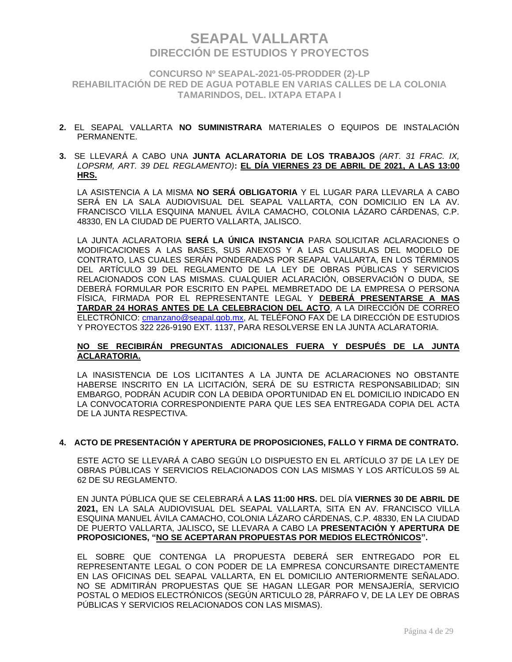**CONCURSO Nº SEAPAL-2021-05-PRODDER (2)-LP REHABILITACIÓN DE RED DE AGUA POTABLE EN VARIAS CALLES DE LA COLONIA TAMARINDOS, DEL. IXTAPA ETAPA I**

- **2.** EL SEAPAL VALLARTA **NO SUMINISTRARA** MATERIALES O EQUIPOS DE INSTALACIÓN PERMANENTE.
- **3.** SE LLEVARÁ A CABO UNA **JUNTA ACLARATORIA DE LOS TRABAJOS** *(ART. 31 FRAC. IX, LOPSRM, ART. 39 DEL REGLAMENTO)***: EL DÍA VIERNES 23 DE ABRIL DE 2021, A LAS 13:00 HRS.**

LA ASISTENCIA A LA MISMA **NO SERÁ OBLIGATORIA** Y EL LUGAR PARA LLEVARLA A CABO SERÁ EN LA SALA AUDIOVISUAL DEL SEAPAL VALLARTA, CON DOMICILIO EN LA AV. FRANCISCO VILLA ESQUINA MANUEL ÁVILA CAMACHO, COLONIA LÁZARO CÁRDENAS, C.P. 48330, EN LA CIUDAD DE PUERTO VALLARTA, JALISCO.

LA JUNTA ACLARATORIA **SERÁ LA ÚNICA INSTANCIA** PARA SOLICITAR ACLARACIONES O MODIFICACIONES A LAS BASES, SUS ANEXOS Y A LAS CLAUSULAS DEL MODELO DE CONTRATO, LAS CUALES SERÁN PONDERADAS POR SEAPAL VALLARTA, EN LOS TÉRMINOS DEL ARTÍCULO 39 DEL REGLAMENTO DE LA LEY DE OBRAS PÚBLICAS Y SERVICIOS RELACIONADOS CON LAS MISMAS. CUALQUIER ACLARACIÓN, OBSERVACIÓN O DUDA, SE DEBERÁ FORMULAR POR ESCRITO EN PAPEL MEMBRETADO DE LA EMPRESA O PERSONA FÍSICA, FIRMADA POR EL REPRESENTANTE LEGAL Y **DEBERÁ PRESENTARSE A MAS TARDAR 24 HORAS ANTES DE LA CELEBRACION DEL ACTO**, A LA DIRECCIÓN DE CORREO ELECTRÓNICO: [cmanzano@seapal.gob.mx,](mailto:cmanzano@seapal.gob.mx) AL TELÉFONO FAX DE LA DIRECCIÓN DE ESTUDIOS Y PROYECTOS 322 226-9190 EXT. 1137, PARA RESOLVERSE EN LA JUNTA ACLARATORIA.

### **NO SE RECIBIRÁN PREGUNTAS ADICIONALES FUERA Y DESPUÉS DE LA JUNTA ACLARATORIA.**

LA INASISTENCIA DE LOS LICITANTES A LA JUNTA DE ACLARACIONES NO OBSTANTE HABERSE INSCRITO EN LA LICITACIÓN, SERÁ DE SU ESTRICTA RESPONSABILIDAD; SIN EMBARGO, PODRÁN ACUDIR CON LA DEBIDA OPORTUNIDAD EN EL DOMICILIO INDICADO EN LA CONVOCATORIA CORRESPONDIENTE PARA QUE LES SEA ENTREGADA COPIA DEL ACTA DE LA JUNTA RESPECTIVA.

#### **4. ACTO DE PRESENTACIÓN Y APERTURA DE PROPOSICIONES, FALLO Y FIRMA DE CONTRATO.**

ESTE ACTO SE LLEVARÁ A CABO SEGÚN LO DISPUESTO EN EL ARTÍCULO 37 DE LA LEY DE OBRAS PÚBLICAS Y SERVICIOS RELACIONADOS CON LAS MISMAS Y LOS ARTÍCULOS 59 AL 62 DE SU REGLAMENTO.

EN JUNTA PÚBLICA QUE SE CELEBRARÁ A **LAS 11:00 HRS.** DEL DÍA **VIERNES 30 DE ABRIL DE 2021,** EN LA SALA AUDIOVISUAL DEL SEAPAL VALLARTA, SITA EN AV. FRANCISCO VILLA ESQUINA MANUEL ÁVILA CAMACHO, COLONIA LÁZARO CÁRDENAS, C.P. 48330, EN LA CIUDAD DE PUERTO VALLARTA, JALISCO**,** SE LLEVARA A CABO LA **PRESENTACIÓN Y APERTURA DE PROPOSICIONES, "NO SE ACEPTARAN PROPUESTAS POR MEDIOS ELECTRÓNICOS".**

EL SOBRE QUE CONTENGA LA PROPUESTA DEBERÁ SER ENTREGADO POR EL REPRESENTANTE LEGAL O CON PODER DE LA EMPRESA CONCURSANTE DIRECTAMENTE EN LAS OFICINAS DEL SEAPAL VALLARTA, EN EL DOMICILIO ANTERIORMENTE SEÑALADO. NO SE ADMITIRÁN PROPUESTAS QUE SE HAGAN LLEGAR POR MENSAJERÍA, SERVICIO POSTAL O MEDIOS ELECTRÓNICOS (SEGÚN ARTICULO 28, PÁRRAFO V, DE LA LEY DE OBRAS PÚBLICAS Y SERVICIOS RELACIONADOS CON LAS MISMAS).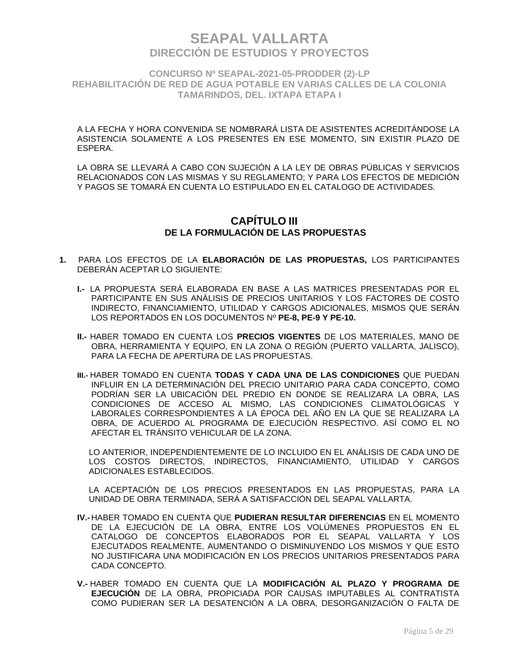**CONCURSO Nº SEAPAL-2021-05-PRODDER (2)-LP REHABILITACIÓN DE RED DE AGUA POTABLE EN VARIAS CALLES DE LA COLONIA TAMARINDOS, DEL. IXTAPA ETAPA I**

A LA FECHA Y HORA CONVENIDA SE NOMBRARÁ LISTA DE ASISTENTES ACREDITÁNDOSE LA ASISTENCIA SOLAMENTE A LOS PRESENTES EN ESE MOMENTO, SIN EXISTIR PLAZO DE ESPERA.

LA OBRA SE LLEVARÁ A CABO CON SUJECIÓN A LA LEY DE OBRAS PÚBLICAS Y SERVICIOS RELACIONADOS CON LAS MISMAS Y SU REGLAMENTO; Y PARA LOS EFECTOS DE MEDICIÓN Y PAGOS SE TOMARÁ EN CUENTA LO ESTIPULADO EN EL CATALOGO DE ACTIVIDADES.

### **CAPÍTULO III DE LA FORMULACIÓN DE LAS PROPUESTAS**

- **1.** PARA LOS EFECTOS DE LA **ELABORACIÓN DE LAS PROPUESTAS,** LOS PARTICIPANTES DEBERÁN ACEPTAR LO SIGUIENTE:
	- **I.-** LA PROPUESTA SERÁ ELABORADA EN BASE A LAS MATRICES PRESENTADAS POR EL PARTICIPANTE EN SUS ANÁLISIS DE PRECIOS UNITARIOS Y LOS FACTORES DE COSTO INDIRECTO, FINANCIAMIENTO, UTILIDAD Y CARGOS ADICIONALES, MISMOS QUE SERÁN LOS REPORTADOS EN LOS DOCUMENTOS Nº **PE-8, PE-9 Y PE-10.**
	- **II.-** HABER TOMADO EN CUENTA LOS **PRECIOS VIGENTES** DE LOS MATERIALES, MANO DE OBRA, HERRAMIENTA Y EQUIPO, EN LA ZONA O REGIÓN (PUERTO VALLARTA, JALISCO), PARA LA FECHA DE APERTURA DE LAS PROPUESTAS.
	- **III.-** HABER TOMADO EN CUENTA **TODAS Y CADA UNA DE LAS CONDICIONES** QUE PUEDAN INFLUIR EN LA DETERMINACIÓN DEL PRECIO UNITARIO PARA CADA CONCEPTO, COMO PODRÍAN SER LA UBICACIÓN DEL PREDIO EN DONDE SE REALIZARA LA OBRA, LAS CONDICIONES DE ACCESO AL MISMO, LAS CONDICIONES CLIMATOLÓGICAS Y LABORALES CORRESPONDIENTES A LA ÉPOCA DEL AÑO EN LA QUE SE REALIZARA LA OBRA, DE ACUERDO AL PROGRAMA DE EJECUCIÓN RESPECTIVO. ASÍ COMO EL NO AFECTAR EL TRÁNSITO VEHICULAR DE LA ZONA.

LO ANTERIOR, INDEPENDIENTEMENTE DE LO INCLUIDO EN EL ANÁLISIS DE CADA UNO DE LOS COSTOS DIRECTOS, INDIRECTOS, FINANCIAMIENTO, UTILIDAD Y CARGOS ADICIONALES ESTABLECIDOS.

LA ACEPTACIÓN DE LOS PRECIOS PRESENTADOS EN LAS PROPUESTAS, PARA LA UNIDAD DE OBRA TERMINADA, SERÁ A SATISFACCIÓN DEL SEAPAL VALLARTA.

- **IV.-** HABER TOMADO EN CUENTA QUE **PUDIERAN RESULTAR DIFERENCIAS** EN EL MOMENTO DE LA EJECUCIÓN DE LA OBRA, ENTRE LOS VOLÚMENES PROPUESTOS EN EL CATALOGO DE CONCEPTOS ELABORADOS POR EL SEAPAL VALLARTA Y LOS EJECUTADOS REALMENTE, AUMENTANDO O DISMINUYENDO LOS MISMOS Y QUE ESTO NO JUSTIFICARA UNA MODIFICACIÓN EN LOS PRECIOS UNITARIOS PRESENTADOS PARA CADA CONCEPTO.
- **V.-** HABER TOMADO EN CUENTA QUE LA **MODIFICACIÓN AL PLAZO Y PROGRAMA DE EJECUCIÓN** DE LA OBRA, PROPICIADA POR CAUSAS IMPUTABLES AL CONTRATISTA COMO PUDIERAN SER LA DESATENCIÓN A LA OBRA, DESORGANIZACIÓN O FALTA DE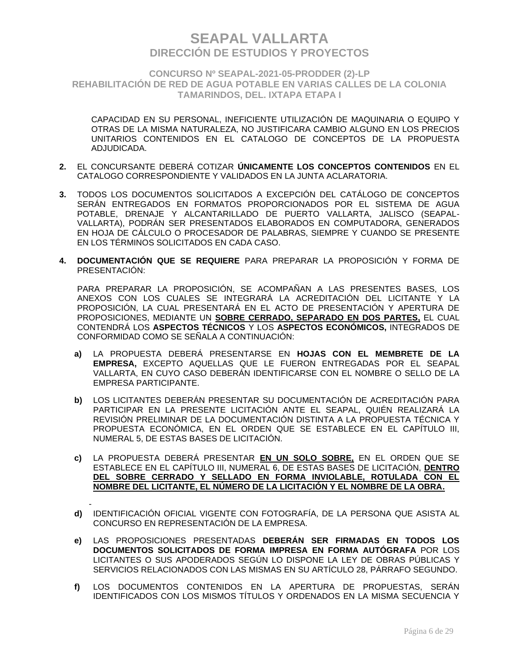**CONCURSO Nº SEAPAL-2021-05-PRODDER (2)-LP REHABILITACIÓN DE RED DE AGUA POTABLE EN VARIAS CALLES DE LA COLONIA TAMARINDOS, DEL. IXTAPA ETAPA I**

CAPACIDAD EN SU PERSONAL, INEFICIENTE UTILIZACIÓN DE MAQUINARIA O EQUIPO Y OTRAS DE LA MISMA NATURALEZA, NO JUSTIFICARA CAMBIO ALGUNO EN LOS PRECIOS UNITARIOS CONTENIDOS EN EL CATALOGO DE CONCEPTOS DE LA PROPUESTA ADJUDICADA.

- **2.** EL CONCURSANTE DEBERÁ COTIZAR **ÚNICAMENTE LOS CONCEPTOS CONTENIDOS** EN EL CATALOGO CORRESPONDIENTE Y VALIDADOS EN LA JUNTA ACLARATORIA.
- **3.** TODOS LOS DOCUMENTOS SOLICITADOS A EXCEPCIÓN DEL CATÁLOGO DE CONCEPTOS SERÁN ENTREGADOS EN FORMATOS PROPORCIONADOS POR EL SISTEMA DE AGUA POTABLE, DRENAJE Y ALCANTARILLADO DE PUERTO VALLARTA, JALISCO (SEAPAL-VALLARTA), PODRÁN SER PRESENTADOS ELABORADOS EN COMPUTADORA, GENERADOS EN HOJA DE CÁLCULO O PROCESADOR DE PALABRAS, SIEMPRE Y CUANDO SE PRESENTE EN LOS TÉRMINOS SOLICITADOS EN CADA CASO.
- **4. DOCUMENTACIÓN QUE SE REQUIERE** PARA PREPARAR LA PROPOSICIÓN Y FORMA DE PRESENTACIÓN:

PARA PREPARAR LA PROPOSICIÓN, SE ACOMPAÑAN A LAS PRESENTES BASES, LOS ANEXOS CON LOS CUALES SE INTEGRARÁ LA ACREDITACIÓN DEL LICITANTE Y LA PROPOSICIÓN, LA CUAL PRESENTARÁ EN EL ACTO DE PRESENTACIÓN Y APERTURA DE PROPOSICIONES, MEDIANTE UN **SOBRE CERRADO, SEPARADO EN DOS PARTES,** EL CUAL CONTENDRÁ LOS **ASPECTOS TÉCNICOS** Y LOS **ASPECTOS ECONÓMICOS,** INTEGRADOS DE CONFORMIDAD COMO SE SEÑALA A CONTINUACIÓN:

- **a)** LA PROPUESTA DEBERÁ PRESENTARSE EN **HOJAS CON EL MEMBRETE DE LA EMPRESA,** EXCEPTO AQUELLAS QUE LE FUERON ENTREGADAS POR EL SEAPAL VALLARTA, EN CUYO CASO DEBERÁN IDENTIFICARSE CON EL NOMBRE O SELLO DE LA EMPRESA PARTICIPANTE.
- **b)** LOS LICITANTES DEBERÁN PRESENTAR SU DOCUMENTACIÓN DE ACREDITACIÓN PARA PARTICIPAR EN LA PRESENTE LICITACIÓN ANTE EL SEAPAL, QUIÉN REALIZARÁ LA REVISIÓN PRELIMINAR DE LA DOCUMENTACIÓN DISTINTA A LA PROPUESTA TÉCNICA Y PROPUESTA ECONÓMICA, EN EL ORDEN QUE SE ESTABLECE EN EL CAPÍTULO III, NUMERAL 5, DE ESTAS BASES DE LICITACIÓN.
- **c)** LA PROPUESTA DEBERÁ PRESENTAR **EN UN SOLO SOBRE,** EN EL ORDEN QUE SE ESTABLECE EN EL CAPÍTULO III, NUMERAL 6, DE ESTAS BASES DE LICITACIÓN, **DENTRO DEL SOBRE CERRADO Y SELLADO EN FORMA INVIOLABLE, ROTULADA CON EL NOMBRE DEL LICITANTE, EL NÚMERO DE LA LICITACIÓN Y EL NOMBRE DE LA OBRA.**
- **d)** IDENTIFICACIÓN OFICIAL VIGENTE CON FOTOGRAFÍA, DE LA PERSONA QUE ASISTA AL CONCURSO EN REPRESENTACIÓN DE LA EMPRESA.
- **e)** LAS PROPOSICIONES PRESENTADAS **DEBERÁN SER FIRMADAS EN TODOS LOS DOCUMENTOS SOLICITADOS DE FORMA IMPRESA EN FORMA AUTÓGRAFA** POR LOS LICITANTES O SUS APODERADOS SEGÚN LO DISPONE LA LEY DE OBRAS PÚBLICAS Y SERVICIOS RELACIONADOS CON LAS MISMAS EN SU ARTÍCULO 28, PÁRRAFO SEGUNDO.
- **f)** LOS DOCUMENTOS CONTENIDOS EN LA APERTURA DE PROPUESTAS, SERÁN IDENTIFICADOS CON LOS MISMOS TÍTULOS Y ORDENADOS EN LA MISMA SECUENCIA Y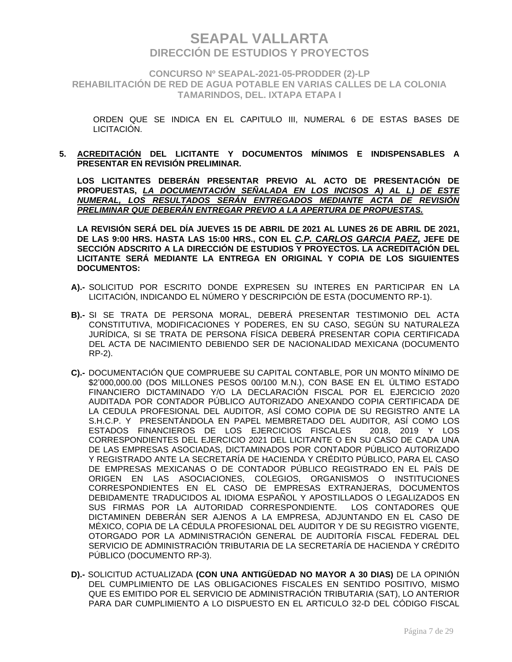**CONCURSO Nº SEAPAL-2021-05-PRODDER (2)-LP REHABILITACIÓN DE RED DE AGUA POTABLE EN VARIAS CALLES DE LA COLONIA TAMARINDOS, DEL. IXTAPA ETAPA I**

ORDEN QUE SE INDICA EN EL CAPITULO III, NUMERAL 6 DE ESTAS BASES DE LICITACIÓN.

**5. ACREDITACIÓN DEL LICITANTE Y DOCUMENTOS MÍNIMOS E INDISPENSABLES A PRESENTAR EN REVISIÓN PRELIMINAR.**

**LOS LICITANTES DEBERÁN PRESENTAR PREVIO AL ACTO DE PRESENTACIÓN DE PROPUESTAS,** *LA DOCUMENTACIÓN SEÑALADA EN LOS INCISOS A) AL L) DE ESTE NUMERAL, LOS RESULTADOS SERÁN ENTREGADOS MEDIANTE ACTA DE REVISIÓN PRELIMINAR QUE DEBERÁN ENTREGAR PREVIO A LA APERTURA DE PROPUESTAS.*

**LA REVISIÓN SERÁ DEL DÍA JUEVES 15 DE ABRIL DE 2021 AL LUNES 26 DE ABRIL DE 2021, DE LAS 9:00 HRS. HASTA LAS 15:00 HRS., CON EL** *C.P. CARLOS GARCIA PAEZ,* **JEFE DE SECCIÓN ADSCRITO A LA DIRECCIÓN DE ESTUDIOS Y PROYECTOS. LA ACREDITACIÓN DEL LICITANTE SERÁ MEDIANTE LA ENTREGA EN ORIGINAL Y COPIA DE LOS SIGUIENTES DOCUMENTOS:**

- **A).-** SOLICITUD POR ESCRITO DONDE EXPRESEN SU INTERES EN PARTICIPAR EN LA LICITACIÓN, INDICANDO EL NÚMERO Y DESCRIPCIÓN DE ESTA (DOCUMENTO RP-1).
- **B).-** SI SE TRATA DE PERSONA MORAL, DEBERÁ PRESENTAR TESTIMONIO DEL ACTA CONSTITUTIVA, MODIFICACIONES Y PODERES, EN SU CASO, SEGÚN SU NATURALEZA JURÍDICA, SI SE TRATA DE PERSONA FÍSICA DEBERÁ PRESENTAR COPIA CERTIFICADA DEL ACTA DE NACIMIENTO DEBIENDO SER DE NACIONALIDAD MEXICANA (DOCUMENTO RP-2).
- **C).-** DOCUMENTACIÓN QUE COMPRUEBE SU CAPITAL CONTABLE, POR UN MONTO MÍNIMO DE \$2'000,000.00 (DOS MILLONES PESOS 00/100 M.N.), CON BASE EN EL ÚLTIMO ESTADO FINANCIERO DICTAMINADO Y/O LA DECLARACIÓN FISCAL POR EL EJERCICIO 2020 AUDITADA POR CONTADOR PÚBLICO AUTORIZADO ANEXANDO COPIA CERTIFICADA DE LA CEDULA PROFESIONAL DEL AUDITOR, ASÍ COMO COPIA DE SU REGISTRO ANTE LA S.H.C.P. Y PRESENTÁNDOLA EN PAPEL MEMBRETADO DEL AUDITOR, ASÍ COMO LOS ESTADOS FINANCIEROS DE LOS EJERCICIOS FISCALES 2018, 2019 Y LOS CORRESPONDIENTES DEL EJERCICIO 2021 DEL LICITANTE O EN SU CASO DE CADA UNA DE LAS EMPRESAS ASOCIADAS, DICTAMINADOS POR CONTADOR PÚBLICO AUTORIZADO Y REGISTRADO ANTE LA SECRETARÍA DE HACIENDA Y CRÉDITO PÚBLICO, PARA EL CASO DE EMPRESAS MEXICANAS O DE CONTADOR PÚBLICO REGISTRADO EN EL PAÍS DE ORIGEN EN LAS ASOCIACIONES, COLEGIOS, ORGANISMOS O INSTITUCIONES CORRESPONDIENTES EN EL CASO DE EMPRESAS EXTRANJERAS, DOCUMENTOS DEBIDAMENTE TRADUCIDOS AL IDIOMA ESPAÑOL Y APOSTILLADOS O LEGALIZADOS EN SUS FIRMAS POR LA AUTORIDAD CORRESPONDIENTE. LOS CONTADORES QUE DICTAMINEN DEBERÁN SER AJENOS A LA EMPRESA, ADJUNTANDO EN EL CASO DE MÉXICO, COPIA DE LA CÉDULA PROFESIONAL DEL AUDITOR Y DE SU REGISTRO VIGENTE, OTORGADO POR LA ADMINISTRACIÓN GENERAL DE AUDITORÍA FISCAL FEDERAL DEL SERVICIO DE ADMINISTRACIÓN TRIBUTARIA DE LA SECRETARÍA DE HACIENDA Y CRÉDITO PÚBLICO (DOCUMENTO RP-3).
- **D).-** SOLICITUD ACTUALIZADA **(CON UNA ANTIGÜEDAD NO MAYOR A 30 DIAS)** DE LA OPINIÓN DEL CUMPLIMIENTO DE LAS OBLIGACIONES FISCALES EN SENTIDO POSITIVO, MISMO QUE ES EMITIDO POR EL SERVICIO DE ADMINISTRACIÓN TRIBUTARIA (SAT), LO ANTERIOR PARA DAR CUMPLIMIENTO A LO DISPUESTO EN EL ARTICULO 32-D DEL CÓDIGO FISCAL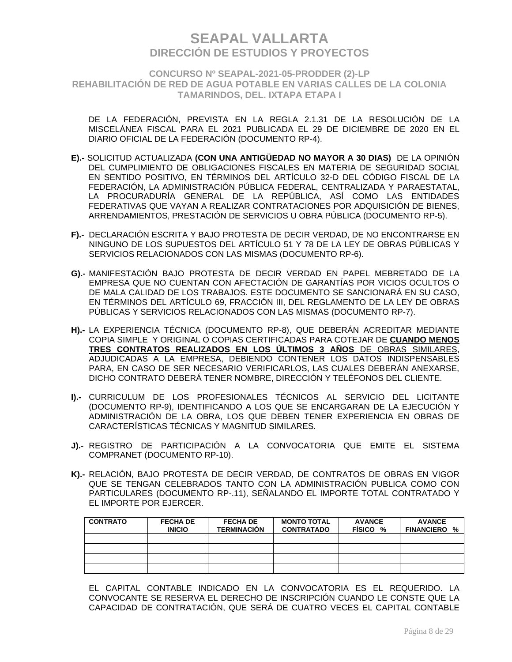**CONCURSO Nº SEAPAL-2021-05-PRODDER (2)-LP REHABILITACIÓN DE RED DE AGUA POTABLE EN VARIAS CALLES DE LA COLONIA TAMARINDOS, DEL. IXTAPA ETAPA I**

DE LA FEDERACIÓN, PREVISTA EN LA REGLA 2.1.31 DE LA RESOLUCIÓN DE LA MISCELÁNEA FISCAL PARA EL 2021 PUBLICADA EL 29 DE DICIEMBRE DE 2020 EN EL DIARIO OFICIAL DE LA FEDERACIÓN (DOCUMENTO RP-4).

- **E).-** SOLICITUD ACTUALIZADA **(CON UNA ANTIGÜEDAD NO MAYOR A 30 DIAS)** DE LA OPINIÓN DEL CUMPLIMIENTO DE OBLIGACIONES FISCALES EN MATERIA DE SEGURIDAD SOCIAL EN SENTIDO POSITIVO, EN TÉRMINOS DEL ARTÍCULO 32-D DEL CÓDIGO FISCAL DE LA FEDERACIÓN, LA ADMINISTRACIÓN PÚBLICA FEDERAL, CENTRALIZADA Y PARAESTATAL, LA PROCURADURÍA GENERAL DE LA REPÚBLICA, ASÍ COMO LAS ENTIDADES FEDERATIVAS QUE VAYAN A REALIZAR CONTRATACIONES POR ADQUISICIÓN DE BIENES, ARRENDAMIENTOS, PRESTACIÓN DE SERVICIOS U OBRA PÚBLICA (DOCUMENTO RP-5).
- **F).-** DECLARACIÓN ESCRITA Y BAJO PROTESTA DE DECIR VERDAD, DE NO ENCONTRARSE EN NINGUNO DE LOS SUPUESTOS DEL ARTÍCULO 51 Y 78 DE LA LEY DE OBRAS PÚBLICAS Y SERVICIOS RELACIONADOS CON LAS MISMAS (DOCUMENTO RP-6).
- **G).-** MANIFESTACIÓN BAJO PROTESTA DE DECIR VERDAD EN PAPEL MEBRETADO DE LA EMPRESA QUE NO CUENTAN CON AFECTACIÓN DE GARANTÍAS POR VICIOS OCULTOS O DE MALA CALIDAD DE LOS TRABAJOS. ESTE DOCUMENTO SE SANCIONARÁ EN SU CASO, EN TÉRMINOS DEL ARTÍCULO 69, FRACCIÓN III, DEL REGLAMENTO DE LA LEY DE OBRAS PÚBLICAS Y SERVICIOS RELACIONADOS CON LAS MISMAS (DOCUMENTO RP-7).
- **H).-** LA EXPERIENCIA TÉCNICA (DOCUMENTO RP-8), QUE DEBERÁN ACREDITAR MEDIANTE COPIA SIMPLE Y ORIGINAL O COPIAS CERTIFICADAS PARA COTEJAR DE **CUANDO MENOS TRES CONTRATOS REALIZADOS EN LOS ÚLTIMOS 3 AÑOS** DE OBRAS SIMILARES, ADJUDICADAS A LA EMPRESA, DEBIENDO CONTENER LOS DATOS INDISPENSABLES PARA, EN CASO DE SER NECESARIO VERIFICARLOS, LAS CUALES DEBERÁN ANEXARSE, DICHO CONTRATO DEBERÁ TENER NOMBRE, DIRECCIÓN Y TELÉFONOS DEL CLIENTE.
- **I).-** CURRICULUM DE LOS PROFESIONALES TÉCNICOS AL SERVICIO DEL LICITANTE (DOCUMENTO RP-9), IDENTIFICANDO A LOS QUE SE ENCARGARAN DE LA EJECUCIÓN Y ADMINISTRACIÓN DE LA OBRA, LOS QUE DEBEN TENER EXPERIENCIA EN OBRAS DE CARACTERÍSTICAS TÉCNICAS Y MAGNITUD SIMILARES.
- **J).-** REGISTRO DE PARTICIPACIÓN A LA CONVOCATORIA QUE EMITE EL SISTEMA COMPRANET (DOCUMENTO RP-10).
- **K).-** RELACIÓN, BAJO PROTESTA DE DECIR VERDAD, DE CONTRATOS DE OBRAS EN VIGOR QUE SE TENGAN CELEBRADOS TANTO CON LA ADMINISTRACIÓN PUBLICA COMO CON PARTICULARES (DOCUMENTO RP-.11), SEÑALANDO EL IMPORTE TOTAL CONTRATADO Y EL IMPORTE POR EJERCER.

| <b>CONTRATO</b> | <b>FECHA DE</b><br><b>INICIO</b> | <b>FECHA DE</b><br><b>TERMINACIÓN</b> | <b>MONTO TOTAL</b><br><b>CONTRATADO</b> | <b>AVANCE</b><br>FISICO % | <b>AVANCE</b><br><b>FINANCIERO</b><br>% |
|-----------------|----------------------------------|---------------------------------------|-----------------------------------------|---------------------------|-----------------------------------------|
|                 |                                  |                                       |                                         |                           |                                         |
|                 |                                  |                                       |                                         |                           |                                         |
|                 |                                  |                                       |                                         |                           |                                         |
|                 |                                  |                                       |                                         |                           |                                         |

EL CAPITAL CONTABLE INDICADO EN LA CONVOCATORIA ES EL REQUERIDO. LA CONVOCANTE SE RESERVA EL DERECHO DE INSCRIPCIÓN CUANDO LE CONSTE QUE LA CAPACIDAD DE CONTRATACIÓN, QUE SERÁ DE CUATRO VECES EL CAPITAL CONTABLE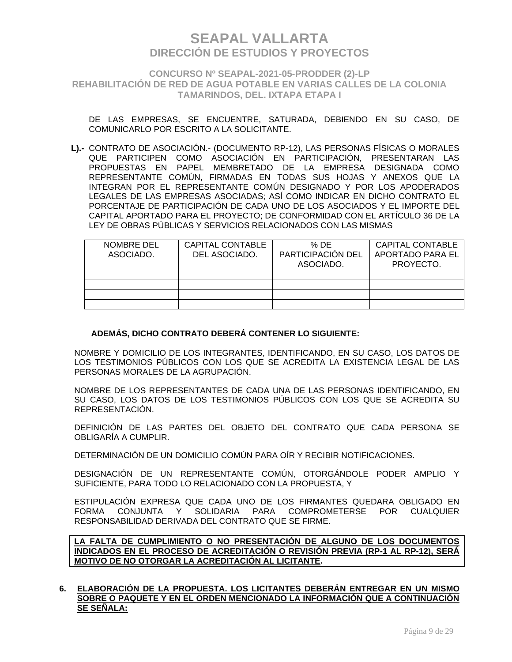**CONCURSO Nº SEAPAL-2021-05-PRODDER (2)-LP REHABILITACIÓN DE RED DE AGUA POTABLE EN VARIAS CALLES DE LA COLONIA TAMARINDOS, DEL. IXTAPA ETAPA I**

DE LAS EMPRESAS, SE ENCUENTRE, SATURADA, DEBIENDO EN SU CASO, DE COMUNICARLO POR ESCRITO A LA SOLICITANTE.

**L).-** CONTRATO DE ASOCIACIÓN.- (DOCUMENTO RP-12), LAS PERSONAS FÍSICAS O MORALES QUE PARTICIPEN COMO ASOCIACIÓN EN PARTICIPACIÓN, PRESENTARAN LAS PROPUESTAS EN PAPEL MEMBRETADO DE LA EMPRESA DESIGNADA COMO REPRESENTANTE COMÚN, FIRMADAS EN TODAS SUS HOJAS Y ANEXOS QUE LA INTEGRAN POR EL REPRESENTANTE COMÚN DESIGNADO Y POR LOS APODERADOS LEGALES DE LAS EMPRESAS ASOCIADAS; ASÍ COMO INDICAR EN DICHO CONTRATO EL PORCENTAJE DE PARTICIPACIÓN DE CADA UNO DE LOS ASOCIADOS Y EL IMPORTE DEL CAPITAL APORTADO PARA EL PROYECTO; DE CONFORMIDAD CON EL ARTÍCULO 36 DE LA LEY DE OBRAS PÚBLICAS Y SERVICIOS RELACIONADOS CON LAS MISMAS

| NOMBRE DEL<br>ASOCIADO. | CAPITAL CONTABLE<br>DEL ASOCIADO. | % DE<br>PARTICIPACIÓN DEL<br>ASOCIADO. | <b>CAPITAL CONTABLE</b><br>APORTADO PARA EL<br>PROYECTO. |
|-------------------------|-----------------------------------|----------------------------------------|----------------------------------------------------------|
|                         |                                   |                                        |                                                          |
|                         |                                   |                                        |                                                          |
|                         |                                   |                                        |                                                          |
|                         |                                   |                                        |                                                          |

### **ADEMÁS, DICHO CONTRATO DEBERÁ CONTENER LO SIGUIENTE:**

NOMBRE Y DOMICILIO DE LOS INTEGRANTES, IDENTIFICANDO, EN SU CASO, LOS DATOS DE LOS TESTIMONIOS PÚBLICOS CON LOS QUE SE ACREDITA LA EXISTENCIA LEGAL DE LAS PERSONAS MORALES DE LA AGRUPACIÓN.

NOMBRE DE LOS REPRESENTANTES DE CADA UNA DE LAS PERSONAS IDENTIFICANDO, EN SU CASO, LOS DATOS DE LOS TESTIMONIOS PÚBLICOS CON LOS QUE SE ACREDITA SU REPRESENTACIÓN.

DEFINICIÓN DE LAS PARTES DEL OBJETO DEL CONTRATO QUE CADA PERSONA SE OBLIGARÍA A CUMPLIR.

DETERMINACIÓN DE UN DOMICILIO COMÚN PARA OÍR Y RECIBIR NOTIFICACIONES.

DESIGNACIÓN DE UN REPRESENTANTE COMÚN, OTORGÁNDOLE PODER AMPLIO Y SUFICIENTE, PARA TODO LO RELACIONADO CON LA PROPUESTA, Y

ESTIPULACIÓN EXPRESA QUE CADA UNO DE LOS FIRMANTES QUEDARA OBLIGADO EN FORMA CONJUNTA Y SOLIDARIA PARA COMPROMETERSE POR CUALQUIER RESPONSABILIDAD DERIVADA DEL CONTRATO QUE SE FIRME.

**LA FALTA DE CUMPLIMIENTO O NO PRESENTACIÓN DE ALGUNO DE LOS DOCUMENTOS INDICADOS EN EL PROCESO DE ACREDITACIÓN O REVISIÓN PREVIA (RP-1 AL RP-12), SERÁ MOTIVO DE NO OTORGAR LA ACREDITACIÓN AL LICITANTE.**

#### **6. ELABORACIÓN DE LA PROPUESTA. LOS LICITANTES DEBERÁN ENTREGAR EN UN MISMO SOBRE O PAQUETE Y EN EL ORDEN MENCIONADO LA INFORMACIÓN QUE A CONTINUACIÓN SE SEÑALA:**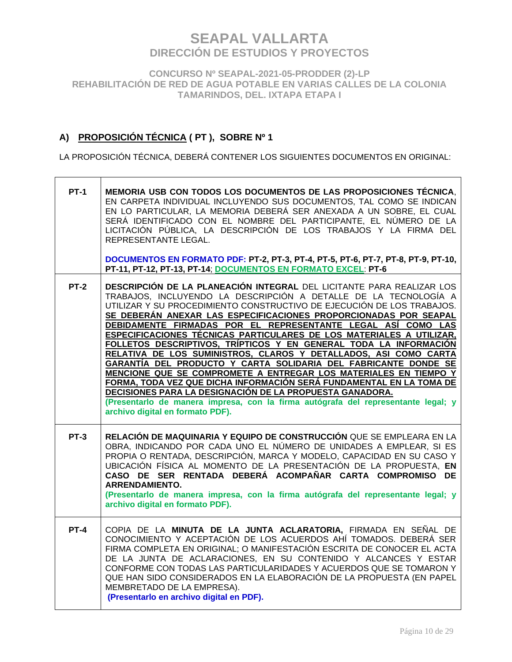**CONCURSO Nº SEAPAL-2021-05-PRODDER (2)-LP REHABILITACIÓN DE RED DE AGUA POTABLE EN VARIAS CALLES DE LA COLONIA TAMARINDOS, DEL. IXTAPA ETAPA I**

## **A) PROPOSICIÓN TÉCNICA ( PT ), SOBRE Nº 1**

LA PROPOSICIÓN TÉCNICA, DEBERÁ CONTENER LOS SIGUIENTES DOCUMENTOS EN ORIGINAL:

| <b>PT-1</b> | MEMORIA USB CON TODOS LOS DOCUMENTOS DE LAS PROPOSICIONES TÉCNICA.<br>EN CARPETA INDIVIDUAL INCLUYENDO SUS DOCUMENTOS, TAL COMO SE INDICAN<br>EN LO PARTICULAR, LA MEMORIA DEBERÁ SER ANEXADA A UN SOBRE, EL CUAL<br>SERÁ IDENTIFICADO CON EL NOMBRE DEL PARTICIPANTE, EL NÚMERO DE LA<br>LICITACIÓN PÚBLICA, LA DESCRIPCIÓN DE LOS TRABAJOS Y LA FIRMA DEL<br>REPRESENTANTE LEGAL.<br>DOCUMENTOS EN FORMATO PDF: PT-2, PT-3, PT-4, PT-5, PT-6, PT-7, PT-8, PT-9, PT-10,                                                                                                                                                                                                                                                                                                                                                                                                                                                                                                            |
|-------------|-------------------------------------------------------------------------------------------------------------------------------------------------------------------------------------------------------------------------------------------------------------------------------------------------------------------------------------------------------------------------------------------------------------------------------------------------------------------------------------------------------------------------------------------------------------------------------------------------------------------------------------------------------------------------------------------------------------------------------------------------------------------------------------------------------------------------------------------------------------------------------------------------------------------------------------------------------------------------------------|
|             | PT-11, PT-12, PT-13, PT-14; DOCUMENTOS EN FORMATO EXCEL: PT-6                                                                                                                                                                                                                                                                                                                                                                                                                                                                                                                                                                                                                                                                                                                                                                                                                                                                                                                       |
| <b>PT-2</b> | DESCRIPCIÓN DE LA PLANEACIÓN INTEGRAL DEL LICITANTE PARA REALIZAR LOS<br>TRABAJOS, INCLUYENDO LA DESCRIPCIÓN A DETALLE DE LA TECNOLOGÍA A<br>UTILIZAR Y SU PROCEDIMIENTO CONSTRUCTIVO DE EJECUCIÓN DE LOS TRABAJOS.<br>SE DEBERÁN ANEXAR LAS ESPECIFICACIONES PROPORCIONADAS POR SEAPAL<br>DEBIDAMENTE FIRMADAS POR EL REPRESENTANTE LEGAL ASÍ COMO LAS<br>ESPECIFICACIONES TÉCNICAS PARTICULARES DE LOS MATERIALES A UTILIZAR,<br>FOLLETOS DESCRIPTIVOS, TRÍPTICOS Y EN GENERAL TODA LA INFORMACIÓN<br>RELATIVA DE LOS SUMINISTROS, CLAROS Y DETALLADOS, ASI COMO CARTA<br>GARANTÍA DEL PRODUCTO Y CARTA SOLIDARIA DEL FABRICANTE DONDE SE<br>MENCIONE QUE SE COMPROMETE A ENTREGAR LOS MATERIALES EN TIEMPO Y<br><u>FORMA, TODA VEZ QUE DICHA INFORMACIÓN SERÁ FUNDAMENTAL EN LA TOMA DE</u><br>DECISIONES PARA LA DESIGNACIÓN DE LA PROPUESTA GANADORA.<br>(Presentarlo de manera impresa, con la firma autógrafa del representante legal; y<br>archivo digital en formato PDF). |
| $PT-3$      | RELACIÓN DE MAQUINARIA Y EQUIPO DE CONSTRUCCIÓN QUE SE EMPLEARA EN LA<br>OBRA, INDICANDO POR CADA UNO EL NÚMERO DE UNIDADES A EMPLEAR, SI ES<br>PROPIA O RENTADA, DESCRIPCIÓN, MARCA Y MODELO, CAPACIDAD EN SU CASO Y<br>UBICACIÓN FÍSICA AL MOMENTO DE LA PRESENTACIÓN DE LA PROPUESTA, EN<br>CASO DE SER RENTADA DEBERÁ ACOMPAÑAR CARTA COMPROMISO DE<br><b>ARRENDAMIENTO.</b><br>(Presentarlo de manera impresa, con la firma autógrafa del representante legal; y<br>archivo digital en formato PDF).                                                                                                                                                                                                                                                                                                                                                                                                                                                                           |
| <b>PT-4</b> | COPIA DE LA MINUTA DE LA JUNTA ACLARATORIA, FIRMADA EN SEÑAL DE<br>CONOCIMIENTO Y ACEPTACIÓN DE LOS ACUERDOS AHÍ TOMADOS. DEBERÁ SER<br>FIRMA COMPLETA EN ORIGINAL; O MANIFESTACIÓN ESCRITA DE CONOCER EL ACTA<br>DE LA JUNTA DE ACLARACIONES, EN SU CONTENIDO Y ALCANCES Y ESTAR<br>CONFORME CON TODAS LAS PARTICULARIDADES Y ACUERDOS QUE SE TOMARON Y<br>QUE HAN SIDO CONSIDERADOS EN LA ELABORACIÓN DE LA PROPUESTA (EN PAPEL<br>MEMBRETADO DE LA EMPRESA).<br>(Presentarlo en archivo digital en PDF).                                                                                                                                                                                                                                                                                                                                                                                                                                                                         |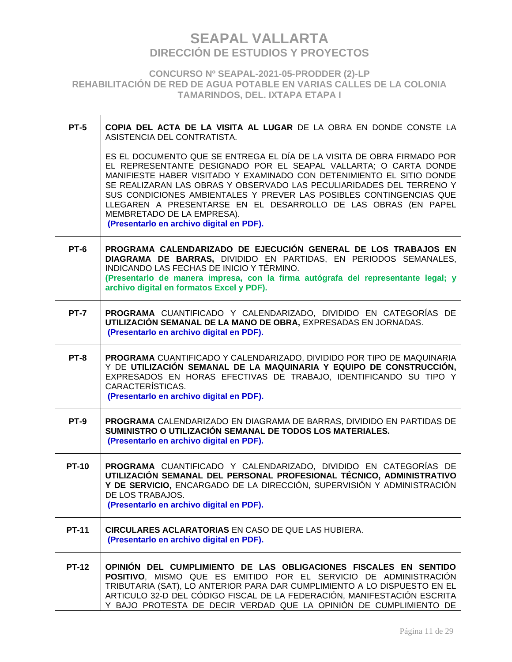**CONCURSO Nº SEAPAL-2021-05-PRODDER (2)-LP REHABILITACIÓN DE RED DE AGUA POTABLE EN VARIAS CALLES DE LA COLONIA TAMARINDOS, DEL. IXTAPA ETAPA I**

 $\Gamma$ 

| $PT-5$       | COPIA DEL ACTA DE LA VISITA AL LUGAR DE LA OBRA EN DONDE CONSTE LA<br>ASISTENCIA DEL CONTRATISTA.                                                                                                                                                                                                                                                                                                                                                                                                              |
|--------------|----------------------------------------------------------------------------------------------------------------------------------------------------------------------------------------------------------------------------------------------------------------------------------------------------------------------------------------------------------------------------------------------------------------------------------------------------------------------------------------------------------------|
|              | ES EL DOCUMENTO QUE SE ENTREGA EL DÍA DE LA VISITA DE OBRA FIRMADO POR<br>EL REPRESENTANTE DESIGNADO POR EL SEAPAL VALLARTA; O CARTA DONDE<br>MANIFIESTE HABER VISITADO Y EXAMINADO CON DETENIMIENTO EL SITIO DONDE<br>SE REALIZARAN LAS OBRAS Y OBSERVADO LAS PECULIARIDADES DEL TERRENO Y<br>SUS CONDICIONES AMBIENTALES Y PREVER LAS POSIBLES CONTINGENCIAS QUE<br>LLEGAREN A PRESENTARSE EN EL DESARROLLO DE LAS OBRAS (EN PAPEL<br>MEMBRETADO DE LA EMPRESA).<br>(Presentarlo en archivo digital en PDF). |
| PT-6         | PROGRAMA CALENDARIZADO DE EJECUCIÓN GENERAL DE LOS TRABAJOS EN<br>DIAGRAMA DE BARRAS, DIVIDIDO EN PARTIDAS, EN PERIODOS SEMANALES,<br>INDICANDO LAS FECHAS DE INICIO Y TÉRMINO.<br>(Presentarlo de manera impresa, con la firma autógrafa del representante legal; y<br>archivo digital en formatos Excel y PDF).                                                                                                                                                                                              |
| <b>PT-7</b>  | PROGRAMA CUANTIFICADO Y CALENDARIZADO, DIVIDIDO EN CATEGORÍAS DE<br>UTILIZACIÓN SEMANAL DE LA MANO DE OBRA, EXPRESADAS EN JORNADAS.<br>(Presentarlo en archivo digital en PDF).                                                                                                                                                                                                                                                                                                                                |
| PT-8         | PROGRAMA CUANTIFICADO Y CALENDARIZADO, DIVIDIDO POR TIPO DE MAQUINARIA<br>Y DE UTILIZACIÓN SEMANAL DE LA MAQUINARIA Y EQUIPO DE CONSTRUCCIÓN,<br>EXPRESADOS EN HORAS EFECTIVAS DE TRABAJO, IDENTIFICANDO SU TIPO Y<br>CARACTERÍSTICAS.<br>(Presentarlo en archivo digital en PDF).                                                                                                                                                                                                                             |
| <b>PT-9</b>  | PROGRAMA CALENDARIZADO EN DIAGRAMA DE BARRAS, DIVIDIDO EN PARTIDAS DE<br>SUMINISTRO O UTILIZACIÓN SEMANAL DE TODOS LOS MATERIALES.<br>(Presentarlo en archivo digital en PDF).                                                                                                                                                                                                                                                                                                                                 |
| <b>PT-10</b> | PROGRAMA CUANTIFICADO Y CALENDARIZADO, DIVIDIDO EN CATEGORÍAS DE<br>UTILIZACIÓN SEMANAL DEL PERSONAL PROFESIONAL TÉCNICO, ADMINISTRATIVO<br>Y DE SERVICIO, ENCARGADO DE LA DIRECCIÓN, SUPERVISIÓN Y ADMINISTRACIÓN<br>DE LOS TRABAJOS.<br>(Presentarlo en archivo digital en PDF).                                                                                                                                                                                                                             |
| <b>PT-11</b> | <b>CIRCULARES ACLARATORIAS EN CASO DE QUE LAS HUBIERA.</b><br>(Presentarlo en archivo digital en PDF).                                                                                                                                                                                                                                                                                                                                                                                                         |
| <b>PT-12</b> | OPINIÓN DEL CUMPLIMIENTO DE LAS OBLIGACIONES FISCALES EN SENTIDO<br>POSITIVO, MISMO QUE ES EMITIDO POR EL SERVICIO DE ADMINISTRACIÓN<br>TRIBUTARIA (SAT), LO ANTERIOR PARA DAR CUMPLIMIENTO A LO DISPUESTO EN EL<br>ARTICULO 32-D DEL CÓDIGO FISCAL DE LA FEDERACIÓN, MANIFESTACIÓN ESCRITA<br>Y BAJO PROTESTA DE DECIR VERDAD QUE LA OPINIÓN DE CUMPLIMIENTO DE                                                                                                                                               |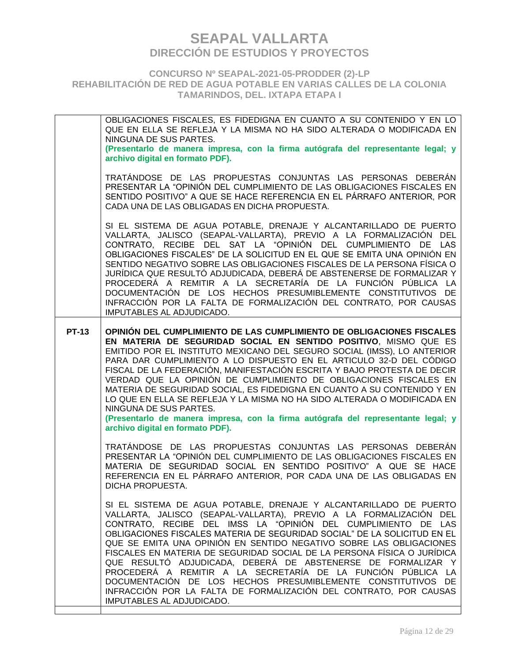**CONCURSO Nº SEAPAL-2021-05-PRODDER (2)-LP REHABILITACIÓN DE RED DE AGUA POTABLE EN VARIAS CALLES DE LA COLONIA TAMARINDOS, DEL. IXTAPA ETAPA I**

OBLIGACIONES FISCALES, ES FIDEDIGNA EN CUANTO A SU CONTENIDO Y EN LO QUE EN ELLA SE REFLEJA Y LA MISMA NO HA SIDO ALTERADA O MODIFICADA EN NINGUNA DE SUS PARTES. **(Presentarlo de manera impresa, con la firma autógrafa del representante legal; y archivo digital en formato PDF).**  TRATÁNDOSE DE LAS PROPUESTAS CONJUNTAS LAS PERSONAS DEBERÁN PRESENTAR LA "OPINIÓN DEL CUMPLIMIENTO DE LAS OBLIGACIONES FISCALES EN SENTIDO POSITIVO" A QUE SE HACE REFERENCIA EN EL PÁRRAFO ANTERIOR, POR CADA UNA DE LAS OBLIGADAS EN DICHA PROPUESTA. SI EL SISTEMA DE AGUA POTABLE, DRENAJE Y ALCANTARILLADO DE PUERTO VALLARTA, JALISCO (SEAPAL-VALLARTA), PREVIO A LA FORMALIZACIÓN DEL CONTRATO, RECIBE DEL SAT LA "OPINIÓN DEL CUMPLIMIENTO DE LAS OBLIGACIONES FISCALES" DE LA SOLICITUD EN EL QUE SE EMITA UNA OPINIÓN EN SENTIDO NEGATIVO SOBRE LAS OBLIGACIONES FISCALES DE LA PERSONA FÍSICA O JURÍDICA QUE RESULTÓ ADJUDICADA, DEBERÁ DE ABSTENERSE DE FORMALIZAR Y PROCEDERÁ A REMITIR A LA SECRETARÍA DE LA FUNCIÓN PÚBLICA LA DOCUMENTACIÓN DE LOS HECHOS PRESUMIBLEMENTE CONSTITUTIVOS DE INFRACCIÓN POR LA FALTA DE FORMALIZACIÓN DEL CONTRATO, POR CAUSAS IMPUTABLES AL ADJUDICADO. **PT-13 OPINIÓN DEL CUMPLIMIENTO DE LAS CUMPLIMIENTO DE OBLIGACIONES FISCALES EN MATERIA DE SEGURIDAD SOCIAL EN SENTIDO POSITIVO**, MISMO QUE ES EMITIDO POR EL INSTITUTO MEXICANO DEL SEGURO SOCIAL (IMSS), LO ANTERIOR PARA DAR CUMPLIMIENTO A LO DISPUESTO EN EL ARTICULO 32-D DEL CÓDIGO FISCAL DE LA FEDERACIÓN, MANIFESTACIÓN ESCRITA Y BAJO PROTESTA DE DECIR VERDAD QUE LA OPINIÓN DE CUMPLIMIENTO DE OBLIGACIONES FISCALES EN MATERIA DE SEGURIDAD SOCIAL, ES FIDEDIGNA EN CUANTO A SU CONTENIDO Y EN LO QUE EN ELLA SE REFLEJA Y LA MISMA NO HA SIDO ALTERADA O MODIFICADA EN NINGUNA DE SUS PARTES. **(Presentarlo de manera impresa, con la firma autógrafa del representante legal; y archivo digital en formato PDF).**  TRATÁNDOSE DE LAS PROPUESTAS CONJUNTAS LAS PERSONAS DEBERÁN PRESENTAR LA "OPINIÓN DEL CUMPLIMIENTO DE LAS OBLIGACIONES FISCALES EN MATERIA DE SEGURIDAD SOCIAL EN SENTIDO POSITIVO" A QUE SE HACE REFERENCIA EN EL PÁRRAFO ANTERIOR, POR CADA UNA DE LAS OBLIGADAS EN DICHA PROPUESTA. SI EL SISTEMA DE AGUA POTABLE, DRENAJE Y ALCANTARILLADO DE PUERTO VALLARTA, JALISCO (SEAPAL-VALLARTA), PREVIO A LA FORMALIZACIÓN DEL CONTRATO, RECIBE DEL IMSS LA "OPINIÓN DEL CUMPLIMIENTO DE LAS OBLIGACIONES FISCALES MATERIA DE SEGURIDAD SOCIAL" DE LA SOLICITUD EN EL QUE SE EMITA UNA OPINIÓN EN SENTIDO NEGATIVO SOBRE LAS OBLIGACIONES FISCALES EN MATERIA DE SEGURIDAD SOCIAL DE LA PERSONA FÍSICA O JURÍDICA QUE RESULTÓ ADJUDICADA, DEBERÁ DE ABSTENERSE DE FORMALIZAR Y PROCEDERÁ A REMITIR A LA SECRETARÍA DE LA FUNCIÓN PÚBLICA LA DOCUMENTACIÓN DE LOS HECHOS PRESUMIBLEMENTE CONSTITUTIVOS DE INFRACCIÓN POR LA FALTA DE FORMALIZACIÓN DEL CONTRATO, POR CAUSAS IMPUTABLES AL ADJUDICADO.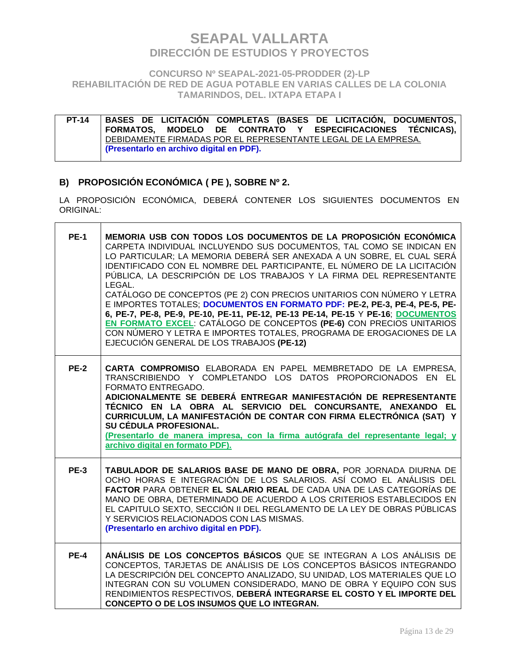**CONCURSO Nº SEAPAL-2021-05-PRODDER (2)-LP REHABILITACIÓN DE RED DE AGUA POTABLE EN VARIAS CALLES DE LA COLONIA TAMARINDOS, DEL. IXTAPA ETAPA I**

**PT-14 BASES DE LICITACIÓN COMPLETAS (BASES DE LICITACIÓN, DOCUMENTOS, FORMATOS, MODELO DE CONTRATO Y ESPECIFICACIONES TÉCNICAS),**  DEBIDAMENTE FIRMADAS POR EL REPRESENTANTE LEGAL DE LA EMPRESA. **(Presentarlo en archivo digital en PDF).**

### **B) PROPOSICIÓN ECONÓMICA ( PE ), SOBRE Nº 2.**

 $\blacksquare$ 

LA PROPOSICIÓN ECONÓMICA, DEBERÁ CONTENER LOS SIGUIENTES DOCUMENTOS EN ORIGINAL:

| <b>PE-1</b> | MEMORIA USB CON TODOS LOS DOCUMENTOS DE LA PROPOSICIÓN ECONÓMICA<br>CARPETA INDIVIDUAL INCLUYENDO SUS DOCUMENTOS, TAL COMO SE INDICAN EN<br>LO PARTICULAR; LA MEMORIA DEBERÁ SER ANEXADA A UN SOBRE, EL CUAL SERÁ<br>IDENTIFICADO CON EL NOMBRE DEL PARTICIPANTE, EL NÚMERO DE LA LICITACIÓN<br>PÚBLICA, LA DESCRIPCIÓN DE LOS TRABAJOS Y LA FIRMA DEL REPRESENTANTE<br>LEGAL.<br>CATÁLOGO DE CONCEPTOS (PE 2) CON PRECIOS UNITARIOS CON NÚMERO Y LETRA<br>E IMPORTES TOTALES; DOCUMENTOS EN FORMATO PDF: PE-2, PE-3, PE-4, PE-5, PE-<br>6, PE-7, PE-8, PE-9, PE-10, PE-11, PE-12, PE-13 PE-14, PE-15 Y PE-16; DOCUMENTOS<br>EN FORMATO EXCEL: CATÁLOGO DE CONCEPTOS (PE-6) CON PRECIOS UNITARIOS<br>CON NÚMERO Y LETRA E IMPORTES TOTALES, PROGRAMA DE EROGACIONES DE LA<br>EJECUCIÓN GENERAL DE LOS TRABAJOS (PE-12) |
|-------------|------------------------------------------------------------------------------------------------------------------------------------------------------------------------------------------------------------------------------------------------------------------------------------------------------------------------------------------------------------------------------------------------------------------------------------------------------------------------------------------------------------------------------------------------------------------------------------------------------------------------------------------------------------------------------------------------------------------------------------------------------------------------------------------------------------------------|
| <b>PE-2</b> | CARTA COMPROMISO ELABORADA EN PAPEL MEMBRETADO DE LA EMPRESA,<br>TRANSCRIBIENDO Y COMPLETANDO LOS DATOS PROPORCIONADOS EN EL<br>FORMATO ENTREGADO.<br>ADICIONALMENTE SE DEBERÁ ENTREGAR MANIFESTACIÓN DE REPRESENTANTE<br>TÉCNICO EN LA OBRA AL SERVICIO DEL CONCURSANTE, ANEXANDO EL<br>CURRICULUM, LA MANIFESTACIÓN DE CONTAR CON FIRMA ELECTRÓNICA (SAT) Y<br>SU CÉDULA PROFESIONAL.<br>(Presentarlo de manera impresa, con la firma autógrafa del representante legal; y<br>archivo digital en formato PDF).                                                                                                                                                                                                                                                                                                       |
| <b>PE-3</b> | TABULADOR DE SALARIOS BASE DE MANO DE OBRA, POR JORNADA DIURNA DE<br>OCHO HORAS E INTEGRACIÓN DE LOS SALARIOS. ASÍ COMO EL ANÁLISIS DEL<br>FACTOR PARA OBTENER EL SALARIO REAL DE CADA UNA DE LAS CATEGORÍAS DE<br>MANO DE OBRA, DETERMINADO DE ACUERDO A LOS CRITERIOS ESTABLECIDOS EN<br>EL CAPITULO SEXTO, SECCIÓN II DEL REGLAMENTO DE LA LEY DE OBRAS PÚBLICAS<br>Y SERVICIOS RELACIONADOS CON LAS MISMAS.<br>(Presentarlo en archivo digital en PDF).                                                                                                                                                                                                                                                                                                                                                            |
| <b>PE-4</b> | ANÁLISIS DE LOS CONCEPTOS BÁSICOS QUE SE INTEGRAN A LOS ANÁLISIS DE<br>CONCEPTOS, TARJETAS DE ANÁLISIS DE LOS CONCEPTOS BÁSICOS INTEGRANDO<br>LA DESCRIPCIÓN DEL CONCEPTO ANALIZADO, SU UNIDAD, LOS MATERIALES QUE LO<br>INTEGRAN CON SU VOLUMEN CONSIDERADO, MANO DE OBRA Y EQUIPO CON SUS<br>RENDIMIENTOS RESPECTIVOS, DEBERÁ INTEGRARSE EL COSTO Y EL IMPORTE DEL<br>CONCEPTO O DE LOS INSUMOS QUE LO INTEGRAN.                                                                                                                                                                                                                                                                                                                                                                                                     |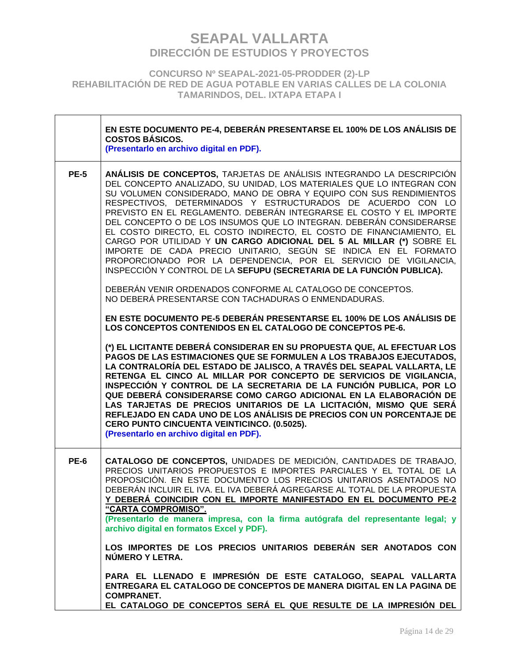**CONCURSO Nº SEAPAL-2021-05-PRODDER (2)-LP REHABILITACIÓN DE RED DE AGUA POTABLE EN VARIAS CALLES DE LA COLONIA TAMARINDOS, DEL. IXTAPA ETAPA I**

|             | EN ESTE DOCUMENTO PE-4, DEBERÁN PRESENTARSE EL 100% DE LOS ANÁLISIS DE<br><b>COSTOS BÁSICOS.</b><br>(Presentarlo en archivo digital en PDF).                                                                                                                                                                                                                                                                                                                                                                                                                                                                                                                                                                                                                                                     |
|-------------|--------------------------------------------------------------------------------------------------------------------------------------------------------------------------------------------------------------------------------------------------------------------------------------------------------------------------------------------------------------------------------------------------------------------------------------------------------------------------------------------------------------------------------------------------------------------------------------------------------------------------------------------------------------------------------------------------------------------------------------------------------------------------------------------------|
| <b>PE-5</b> | ANÁLISIS DE CONCEPTOS, TARJETAS DE ANÁLISIS INTEGRANDO LA DESCRIPCIÓN<br>DEL CONCEPTO ANALIZADO, SU UNIDAD, LOS MATERIALES QUE LO INTEGRAN CON<br>SU VOLUMEN CONSIDERADO, MANO DE OBRA Y EQUIPO CON SUS RENDIMIENTOS<br>RESPECTIVOS, DETERMINADOS Y ESTRUCTURADOS DE ACUERDO CON LO<br>PREVISTO EN EL REGLAMENTO. DEBERÁN INTEGRARSE EL COSTO Y EL IMPORTE<br>DEL CONCEPTO O DE LOS INSUMOS QUE LO INTEGRAN. DEBERÁN CONSIDERARSE<br>EL COSTO DIRECTO, EL COSTO INDIRECTO, EL COSTO DE FINANCIAMIENTO, EL<br>CARGO POR UTILIDAD Y UN CARGO ADICIONAL DEL 5 AL MILLAR (*) SOBRE EL<br>IMPORTE DE CADA PRECIO UNITARIO, SEGÚN SE INDICA EN EL FORMATO<br>PROPORCIONADO POR LA DEPENDENCIA, POR EL SERVICIO DE VIGILANCIA,<br>INSPECCIÓN Y CONTROL DE LA SEFUPU (SECRETARIA DE LA FUNCIÓN PUBLICA). |
|             | DEBERÁN VENIR ORDENADOS CONFORME AL CATALOGO DE CONCEPTOS.<br>NO DEBERÁ PRESENTARSE CON TACHADURAS O ENMENDADURAS.                                                                                                                                                                                                                                                                                                                                                                                                                                                                                                                                                                                                                                                                               |
|             | EN ESTE DOCUMENTO PE-5 DEBERÁN PRESENTARSE EL 100% DE LOS ANÁLISIS DE<br>LOS CONCEPTOS CONTENIDOS EN EL CATALOGO DE CONCEPTOS PE-6.                                                                                                                                                                                                                                                                                                                                                                                                                                                                                                                                                                                                                                                              |
|             | (*) EL LICITANTE DEBERÁ CONSIDERAR EN SU PROPUESTA QUE, AL EFECTUAR LOS<br>PAGOS DE LAS ESTIMACIONES QUE SE FORMULEN A LOS TRABAJOS EJECUTADOS,<br>LA CONTRALORÍA DEL ESTADO DE JALISCO, A TRAVÉS DEL SEAPAL VALLARTA, LE<br>RETENGA EL CINCO AL MILLAR POR CONCEPTO DE SERVICIOS DE VIGILANCIA,<br>INSPECCIÓN Y CONTROL DE LA SECRETARIA DE LA FUNCIÓN PUBLICA, POR LO<br>QUE DEBERÁ CONSIDERARSE COMO CARGO ADICIONAL EN LA ELABORACIÓN DE<br>LAS TARJETAS DE PRECIOS UNITARIOS DE LA LICITACIÓN, MISMO QUE SERÁ<br>REFLEJADO EN CADA UNO DE LOS ANÁLISIS DE PRECIOS CON UN PORCENTAJE DE<br>CERO PUNTO CINCUENTA VEINTICINCO. (0.5025).<br>(Presentarlo en archivo digital en PDF).                                                                                                           |
| <b>PE-6</b> | CATALOGO DE CONCEPTOS, UNIDADES DE MEDICIÓN, CANTIDADES DE TRABAJO,<br>PRECIOS UNITARIOS PROPUESTOS E IMPORTES PARCIALES Y EL TOTAL DE LA<br>PROPOSICIÓN. EN ESTE DOCUMENTO LOS PRECIOS UNITARIOS ASENTADOS NO<br>DEBERÁN INCLUIR EL IVA. EL IVA DEBERÁ AGREGARSE AL TOTAL DE LA PROPUESTA<br>Y DEBERÁ COINCIDIR CON EL IMPORTE MANIFESTADO EN EL DOCUMENTO PE-2<br>"CARTA COMPROMISO".                                                                                                                                                                                                                                                                                                                                                                                                          |
|             | (Presentarlo de manera impresa, con la firma autógrafa del representante legal; y<br>archivo digital en formatos Excel y PDF).                                                                                                                                                                                                                                                                                                                                                                                                                                                                                                                                                                                                                                                                   |
|             | LOS IMPORTES DE LOS PRECIOS UNITARIOS DEBERÁN SER ANOTADOS CON<br>NÚMERO Y LETRA.                                                                                                                                                                                                                                                                                                                                                                                                                                                                                                                                                                                                                                                                                                                |
|             | PARA EL LLENADO E IMPRESIÓN DE ESTE CATALOGO, SEAPAL VALLARTA<br>ENTREGARA EL CATALOGO DE CONCEPTOS DE MANERA DIGITAL EN LA PAGINA DE<br><b>COMPRANET.</b><br>EL CATALOGO DE CONCEPTOS SERÁ EL QUE RESULTE DE LA IMPRESIÓN DEL                                                                                                                                                                                                                                                                                                                                                                                                                                                                                                                                                                   |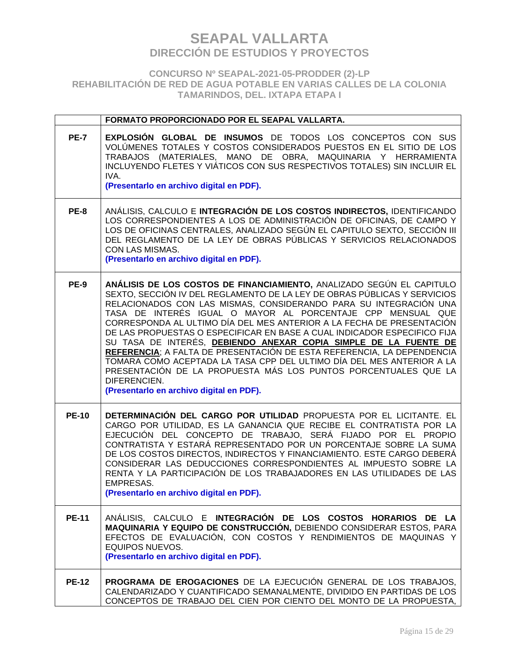### **CONCURSO Nº SEAPAL-2021-05-PRODDER (2)-LP REHABILITACIÓN DE RED DE AGUA POTABLE EN VARIAS CALLES DE LA COLONIA TAMARINDOS, DEL. IXTAPA ETAPA I**

|              | FORMATO PROPORCIONADO POR EL SEAPAL VALLARTA.                                                                                                                                                                                                                                                                                                                                                                                                                                                                                                                                                                                                                                                                                                                                                    |
|--------------|--------------------------------------------------------------------------------------------------------------------------------------------------------------------------------------------------------------------------------------------------------------------------------------------------------------------------------------------------------------------------------------------------------------------------------------------------------------------------------------------------------------------------------------------------------------------------------------------------------------------------------------------------------------------------------------------------------------------------------------------------------------------------------------------------|
| <b>PE-7</b>  | <b>EXPLOSIÓN GLOBAL DE INSUMOS</b> DE TODOS LOS CONCEPTOS CON SUS<br>VOLÚMENES TOTALES Y COSTOS CONSIDERADOS PUESTOS EN EL SITIO DE LOS<br>TRABAJOS (MATERIALES, MANO DE OBRA, MAQUINARIA Y HERRAMIENTA<br>INCLUYENDO FLETES Y VIÁTICOS CON SUS RESPECTIVOS TOTALES) SIN INCLUIR EL<br>IVA.<br>(Presentarlo en archivo digital en PDF).                                                                                                                                                                                                                                                                                                                                                                                                                                                          |
| <b>PE-8</b>  | ANÁLISIS, CALCULO E INTEGRACIÓN DE LOS COSTOS INDIRECTOS, IDENTIFICANDO<br>LOS CORRESPONDIENTES A LOS DE ADMINISTRACIÓN DE OFICINAS, DE CAMPO Y<br>LOS DE OFICINAS CENTRALES, ANALIZADO SEGÚN EL CAPITULO SEXTO, SECCIÓN III<br>DEL REGLAMENTO DE LA LEY DE OBRAS PÚBLICAS Y SERVICIOS RELACIONADOS<br>CON LAS MISMAS.<br>(Presentarlo en archivo digital en PDF).                                                                                                                                                                                                                                                                                                                                                                                                                               |
| <b>PE-9</b>  | ANÁLISIS DE LOS COSTOS DE FINANCIAMIENTO, ANALIZADO SEGÚN EL CAPITULO<br>SEXTO, SECCIÓN IV DEL REGLAMENTO DE LA LEY DE OBRAS PÚBLICAS Y SERVICIOS<br>RELACIONADOS CON LAS MISMAS, CONSIDERANDO PARA SU INTEGRACIÓN UNA<br>TASA DE INTERÉS IGUAL O MAYOR AL PORCENTAJE CPP MENSUAL QUE<br>CORRESPONDA AL ULTIMO DÍA DEL MES ANTERIOR A LA FECHA DE PRESENTACIÓN<br>DE LAS PROPUESTAS O ESPECIFICAR EN BASE A CUAL INDICADOR ESPECIFICO FIJA<br>SU TASA DE INTERÉS, DEBIENDO ANEXAR COPIA SIMPLE DE LA FUENTE DE<br>REFERENCIA; A FALTA DE PRESENTACIÓN DE ESTA REFERENCIA, LA DEPENDENCIA<br>TOMARA COMO ACEPTADA LA TASA CPP DEL ULTIMO DÍA DEL MES ANTERIOR A LA<br>PRESENTACIÓN DE LA PROPUESTA MÁS LOS PUNTOS PORCENTUALES QUE LA<br>DIFERENCIEN.<br>(Presentarlo en archivo digital en PDF). |
| <b>PE-10</b> | DETERMINACIÓN DEL CARGO POR UTILIDAD PROPUESTA POR EL LICITANTE. EL<br>CARGO POR UTILIDAD, ES LA GANANCIA QUE RECIBE EL CONTRATISTA POR LA<br>EJECUCIÓN DEL CONCEPTO DE TRABAJO, SERÁ FIJADO POR EL PROPIO<br>CONTRATISTA Y ESTARÁ REPRESENTADO POR UN PORCENTAJE SOBRE LA SUMA<br>DE LOS COSTOS DIRECTOS, INDIRECTOS Y FINANCIAMIENTO. ESTE CARGO DEBERÁ<br>CONSIDERAR LAS DEDUCCIONES CORRESPONDIENTES AL IMPUESTO SOBRE LA<br>RENTA Y LA PARTICIPACIÓN DE LOS TRABAJADORES EN LAS UTILIDADES DE LAS<br><b>EMPRESAS.</b><br>(Presentarlo en archivo digital en PDF).                                                                                                                                                                                                                           |
| <b>PE-11</b> | ANÁLISIS, CALCULO E INTEGRACIÓN DE LOS COSTOS HORARIOS DE LA<br>MAQUINARIA Y EQUIPO DE CONSTRUCCIÓN, DEBIENDO CONSIDERAR ESTOS, PARA<br>EFECTOS DE EVALUACIÓN, CON COSTOS Y RENDIMIENTOS DE MAQUINAS Y<br><b>EQUIPOS NUEVOS.</b><br>(Presentarlo en archivo digital en PDF).                                                                                                                                                                                                                                                                                                                                                                                                                                                                                                                     |
| <b>PE-12</b> | PROGRAMA DE EROGACIONES DE LA EJECUCIÓN GENERAL DE LOS TRABAJOS.<br>CALENDARIZADO Y CUANTIFICADO SEMANALMENTE, DIVIDIDO EN PARTIDAS DE LOS<br>CONCEPTOS DE TRABAJO DEL CIEN POR CIENTO DEL MONTO DE LA PROPUESTA,                                                                                                                                                                                                                                                                                                                                                                                                                                                                                                                                                                                |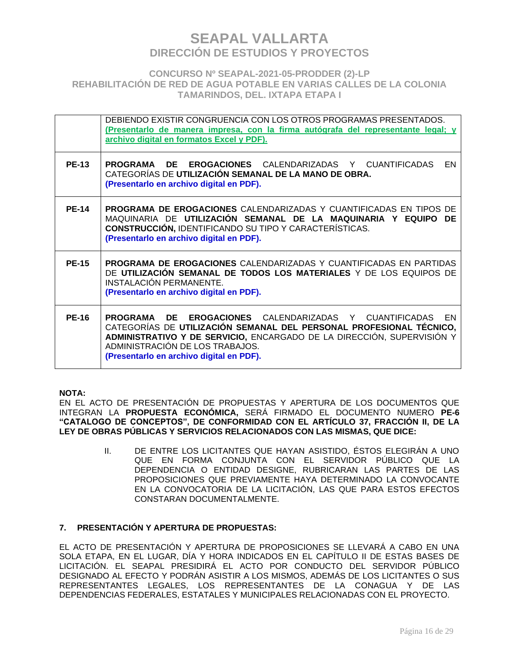### **CONCURSO Nº SEAPAL-2021-05-PRODDER (2)-LP REHABILITACIÓN DE RED DE AGUA POTABLE EN VARIAS CALLES DE LA COLONIA TAMARINDOS, DEL. IXTAPA ETAPA I**

|              | DEBIENDO EXISTIR CONGRUENCIA CON LOS OTROS PROGRAMAS PRESENTADOS.<br>(Presentarlo de manera impresa, con la firma autógrafa del representante legal; y<br>archivo digital en formatos Excel y PDF).                                                                                          |
|--------------|----------------------------------------------------------------------------------------------------------------------------------------------------------------------------------------------------------------------------------------------------------------------------------------------|
| <b>PE-13</b> | <b>PROGRAMA DE EROGACIONES CALENDARIZADAS Y CUANTIFICADAS</b><br>EN<br>CATEGORÍAS DE UTILIZACIÓN SEMANAL DE LA MANO DE OBRA.<br>(Presentarlo en archivo digital en PDF).                                                                                                                     |
| <b>PE-14</b> | PROGRAMA DE EROGACIONES CALENDARIZADAS Y CUANTIFICADAS EN TIPOS DE<br>MAQUINARIA DE UTILIZACIÓN SEMANAL DE LA MAQUINARIA Y EQUIPO DE<br><b>CONSTRUCCIÓN, IDENTIFICANDO SU TIPO Y CARACTERÍSTICAS.</b><br>(Presentarlo en archivo digital en PDF).                                            |
| <b>PE-15</b> | <b>PROGRAMA DE EROGACIONES</b> CALENDARIZADAS Y CUANTIFICADAS EN PARTIDAS<br>DE UTILIZACIÓN SEMANAL DE TODOS LOS MATERIALES Y DE LOS EQUIPOS DE<br><b>INSTALACIÓN PERMANENTE.</b><br>(Presentarlo en archivo digital en PDF).                                                                |
| <b>PE-16</b> | PROGRAMA<br>DE EROGACIONES CALENDARIZADAS Y CUANTIFICADAS EN<br>CATEGORÍAS DE UTILIZACIÓN SEMANAL DEL PERSONAL PROFESIONAL TÉCNICO,<br>ADMINISTRATIVO Y DE SERVICIO, ENCARGADO DE LA DIRECCIÓN, SUPERVISIÓN Y<br>ADMINISTRACIÓN DE LOS TRABAJOS.<br>(Presentarlo en archivo digital en PDF). |

### **NOTA:**

EN EL ACTO DE PRESENTACIÓN DE PROPUESTAS Y APERTURA DE LOS DOCUMENTOS QUE INTEGRAN LA **PROPUESTA ECONÓMICA,** SERÁ FIRMADO EL DOCUMENTO NUMERO **PE-6 "CATALOGO DE CONCEPTOS", DE CONFORMIDAD CON EL ARTÍCULO 37, FRACCIÓN II, DE LA LEY DE OBRAS PÚBLICAS Y SERVICIOS RELACIONADOS CON LAS MISMAS, QUE DICE:**

> II. DE ENTRE LOS LICITANTES QUE HAYAN ASISTIDO, ÉSTOS ELEGIRÁN A UNO QUE EN FORMA CONJUNTA CON EL SERVIDOR PÚBLICO QUE LA DEPENDENCIA O ENTIDAD DESIGNE, RUBRICARAN LAS PARTES DE LAS PROPOSICIONES QUE PREVIAMENTE HAYA DETERMINADO LA CONVOCANTE EN LA CONVOCATORIA DE LA LICITACIÓN, LAS QUE PARA ESTOS EFECTOS CONSTARAN DOCUMENTALMENTE.

### **7. PRESENTACIÓN Y APERTURA DE PROPUESTAS:**

EL ACTO DE PRESENTACIÓN Y APERTURA DE PROPOSICIONES SE LLEVARÁ A CABO EN UNA SOLA ETAPA, EN EL LUGAR, DÍA Y HORA INDICADOS EN EL CAPÍTULO II DE ESTAS BASES DE LICITACIÓN. EL SEAPAL PRESIDIRÁ EL ACTO POR CONDUCTO DEL SERVIDOR PÚBLICO DESIGNADO AL EFECTO Y PODRÁN ASISTIR A LOS MISMOS, ADEMÁS DE LOS LICITANTES O SUS REPRESENTANTES LEGALES, LOS REPRESENTANTES DE LA CONAGUA Y DE LAS DEPENDENCIAS FEDERALES, ESTATALES Y MUNICIPALES RELACIONADAS CON EL PROYECTO.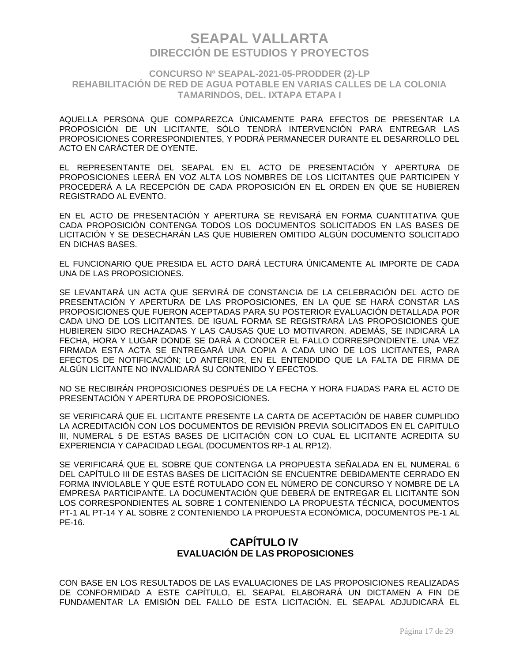### **CONCURSO Nº SEAPAL-2021-05-PRODDER (2)-LP REHABILITACIÓN DE RED DE AGUA POTABLE EN VARIAS CALLES DE LA COLONIA TAMARINDOS, DEL. IXTAPA ETAPA I**

AQUELLA PERSONA QUE COMPAREZCA ÚNICAMENTE PARA EFECTOS DE PRESENTAR LA PROPOSICIÓN DE UN LICITANTE, SÓLO TENDRÁ INTERVENCIÓN PARA ENTREGAR LAS PROPOSICIONES CORRESPONDIENTES, Y PODRÁ PERMANECER DURANTE EL DESARROLLO DEL ACTO EN CARÁCTER DE OYENTE.

EL REPRESENTANTE DEL SEAPAL EN EL ACTO DE PRESENTACIÓN Y APERTURA DE PROPOSICIONES LEERÁ EN VOZ ALTA LOS NOMBRES DE LOS LICITANTES QUE PARTICIPEN Y PROCEDERÁ A LA RECEPCIÓN DE CADA PROPOSICIÓN EN EL ORDEN EN QUE SE HUBIEREN REGISTRADO AL EVENTO.

EN EL ACTO DE PRESENTACIÓN Y APERTURA SE REVISARÁ EN FORMA CUANTITATIVA QUE CADA PROPOSICIÓN CONTENGA TODOS LOS DOCUMENTOS SOLICITADOS EN LAS BASES DE LICITACIÓN Y SE DESECHARÁN LAS QUE HUBIEREN OMITIDO ALGÚN DOCUMENTO SOLICITADO EN DICHAS BASES.

EL FUNCIONARIO QUE PRESIDA EL ACTO DARÁ LECTURA ÚNICAMENTE AL IMPORTE DE CADA UNA DE LAS PROPOSICIONES.

SE LEVANTARÁ UN ACTA QUE SERVIRÁ DE CONSTANCIA DE LA CELEBRACIÓN DEL ACTO DE PRESENTACIÓN Y APERTURA DE LAS PROPOSICIONES, EN LA QUE SE HARÁ CONSTAR LAS PROPOSICIONES QUE FUERON ACEPTADAS PARA SU POSTERIOR EVALUACIÓN DETALLADA POR CADA UNO DE LOS LICITANTES. DE IGUAL FORMA SE REGISTRARÁ LAS PROPOSICIONES QUE HUBIEREN SIDO RECHAZADAS Y LAS CAUSAS QUE LO MOTIVARON. ADEMÁS, SE INDICARÁ LA FECHA, HORA Y LUGAR DONDE SE DARÁ A CONOCER EL FALLO CORRESPONDIENTE. UNA VEZ FIRMADA ESTA ACTA SE ENTREGARÁ UNA COPIA A CADA UNO DE LOS LICITANTES, PARA EFECTOS DE NOTIFICACIÓN; LO ANTERIOR, EN EL ENTENDIDO QUE LA FALTA DE FIRMA DE ALGÚN LICITANTE NO INVALIDARÁ SU CONTENIDO Y EFECTOS.

NO SE RECIBIRÁN PROPOSICIONES DESPUÉS DE LA FECHA Y HORA FIJADAS PARA EL ACTO DE PRESENTACIÓN Y APERTURA DE PROPOSICIONES.

SE VERIFICARÁ QUE EL LICITANTE PRESENTE LA CARTA DE ACEPTACIÓN DE HABER CUMPLIDO LA ACREDITACIÓN CON LOS DOCUMENTOS DE REVISIÓN PREVIA SOLICITADOS EN EL CAPITULO III, NUMERAL 5 DE ESTAS BASES DE LICITACIÓN CON LO CUAL EL LICITANTE ACREDITA SU EXPERIENCIA Y CAPACIDAD LEGAL (DOCUMENTOS RP-1 AL RP12).

SE VERIFICARÁ QUE EL SOBRE QUE CONTENGA LA PROPUESTA SEÑALADA EN EL NUMERAL 6 DEL CAPÍTULO III DE ESTAS BASES DE LICITACIÓN SE ENCUENTRE DEBIDAMENTE CERRADO EN FORMA INVIOLABLE Y QUE ESTÉ ROTULADO CON EL NÚMERO DE CONCURSO Y NOMBRE DE LA EMPRESA PARTICIPANTE. LA DOCUMENTACIÓN QUE DEBERÁ DE ENTREGAR EL LICITANTE SON LOS CORRESPONDIENTES AL SOBRE 1 CONTENIENDO LA PROPUESTA TÉCNICA, DOCUMENTOS PT-1 AL PT-14 Y AL SOBRE 2 CONTENIENDO LA PROPUESTA ECONÓMICA, DOCUMENTOS PE-1 AL PE-16.

## **CAPÍTULO IV EVALUACIÓN DE LAS PROPOSICIONES**

CON BASE EN LOS RESULTADOS DE LAS EVALUACIONES DE LAS PROPOSICIONES REALIZADAS DE CONFORMIDAD A ESTE CAPÍTULO, EL SEAPAL ELABORARÁ UN DICTAMEN A FIN DE FUNDAMENTAR LA EMISIÓN DEL FALLO DE ESTA LICITACIÓN. EL SEAPAL ADJUDICARÁ EL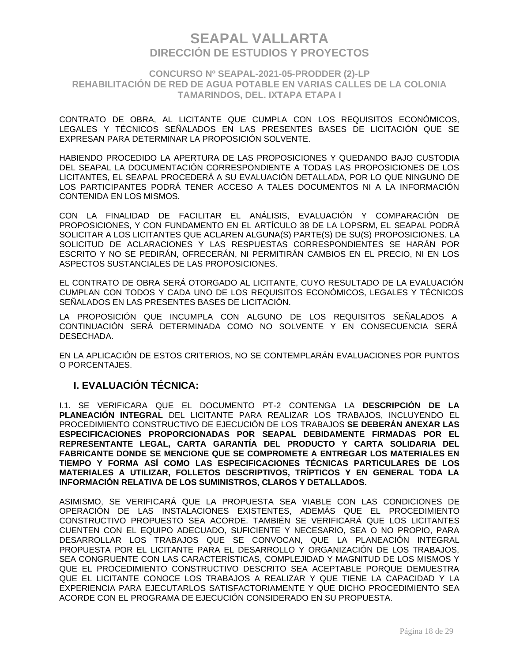### **CONCURSO Nº SEAPAL-2021-05-PRODDER (2)-LP REHABILITACIÓN DE RED DE AGUA POTABLE EN VARIAS CALLES DE LA COLONIA TAMARINDOS, DEL. IXTAPA ETAPA I**

CONTRATO DE OBRA, AL LICITANTE QUE CUMPLA CON LOS REQUISITOS ECONÓMICOS, LEGALES Y TÉCNICOS SEÑALADOS EN LAS PRESENTES BASES DE LICITACIÓN QUE SE EXPRESAN PARA DETERMINAR LA PROPOSICIÓN SOLVENTE.

HABIENDO PROCEDIDO LA APERTURA DE LAS PROPOSICIONES Y QUEDANDO BAJO CUSTODIA DEL SEAPAL LA DOCUMENTACIÓN CORRESPONDIENTE A TODAS LAS PROPOSICIONES DE LOS LICITANTES, EL SEAPAL PROCEDERÁ A SU EVALUACIÓN DETALLADA, POR LO QUE NINGUNO DE LOS PARTICIPANTES PODRÁ TENER ACCESO A TALES DOCUMENTOS NI A LA INFORMACIÓN CONTENIDA EN LOS MISMOS.

CON LA FINALIDAD DE FACILITAR EL ANÁLISIS, EVALUACIÓN Y COMPARACIÓN DE PROPOSICIONES, Y CON FUNDAMENTO EN EL ARTÍCULO 38 DE LA LOPSRM, EL SEAPAL PODRÁ SOLICITAR A LOS LICITANTES QUE ACLAREN ALGUNA(S) PARTE(S) DE SU(S) PROPOSICIONES. LA SOLICITUD DE ACLARACIONES Y LAS RESPUESTAS CORRESPONDIENTES SE HARÁN POR ESCRITO Y NO SE PEDIRÁN, OFRECERÁN, NI PERMITIRÁN CAMBIOS EN EL PRECIO, NI EN LOS ASPECTOS SUSTANCIALES DE LAS PROPOSICIONES.

EL CONTRATO DE OBRA SERÁ OTORGADO AL LICITANTE, CUYO RESULTADO DE LA EVALUACIÓN CUMPLAN CON TODOS Y CADA UNO DE LOS REQUISITOS ECONÓMICOS, LEGALES Y TÉCNICOS SEÑALADOS EN LAS PRESENTES BASES DE LICITACIÓN.

LA PROPOSICIÓN QUE INCUMPLA CON ALGUNO DE LOS REQUISITOS SEÑALADOS A CONTINUACIÓN SERÁ DETERMINADA COMO NO SOLVENTE Y EN CONSECUENCIA SERÁ DESECHADA.

EN LA APLICACIÓN DE ESTOS CRITERIOS, NO SE CONTEMPLARÁN EVALUACIONES POR PUNTOS O PORCENTAJES.

## **I. EVALUACIÓN TÉCNICA:**

I.1. SE VERIFICARA QUE EL DOCUMENTO PT-2 CONTENGA LA **DESCRIPCIÓN DE LA PLANEACIÓN INTEGRAL** DEL LICITANTE PARA REALIZAR LOS TRABAJOS, INCLUYENDO EL PROCEDIMIENTO CONSTRUCTIVO DE EJECUCIÓN DE LOS TRABAJOS **SE DEBERÁN ANEXAR LAS ESPECIFICACIONES PROPORCIONADAS POR SEAPAL DEBIDAMENTE FIRMADAS POR EL REPRESENTANTE LEGAL, CARTA GARANTÍA DEL PRODUCTO Y CARTA SOLIDARIA DEL FABRICANTE DONDE SE MENCIONE QUE SE COMPROMETE A ENTREGAR LOS MATERIALES EN TIEMPO Y FORMA ASÍ COMO LAS ESPECIFICACIONES TÉCNICAS PARTICULARES DE LOS MATERIALES A UTILIZAR, FOLLETOS DESCRIPTIVOS, TRÍPTICOS Y EN GENERAL TODA LA INFORMACIÓN RELATIVA DE LOS SUMINISTROS, CLAROS Y DETALLADOS.**

ASIMISMO, SE VERIFICARÁ QUE LA PROPUESTA SEA VIABLE CON LAS CONDICIONES DE OPERACIÓN DE LAS INSTALACIONES EXISTENTES, ADEMÁS QUE EL PROCEDIMIENTO CONSTRUCTIVO PROPUESTO SEA ACORDE. TAMBIÉN SE VERIFICARÁ QUE LOS LICITANTES CUENTEN CON EL EQUIPO ADECUADO, SUFICIENTE Y NECESARIO, SEA O NO PROPIO, PARA DESARROLLAR LOS TRABAJOS QUE SE CONVOCAN, QUE LA PLANEACIÓN INTEGRAL PROPUESTA POR EL LICITANTE PARA EL DESARROLLO Y ORGANIZACIÓN DE LOS TRABAJOS, SEA CONGRUENTE CON LAS CARACTERÍSTICAS, COMPLEJIDAD Y MAGNITUD DE LOS MISMOS Y QUE EL PROCEDIMIENTO CONSTRUCTIVO DESCRITO SEA ACEPTABLE PORQUE DEMUESTRA QUE EL LICITANTE CONOCE LOS TRABAJOS A REALIZAR Y QUE TIENE LA CAPACIDAD Y LA EXPERIENCIA PARA EJECUTARLOS SATISFACTORIAMENTE Y QUE DICHO PROCEDIMIENTO SEA ACORDE CON EL PROGRAMA DE EJECUCIÓN CONSIDERADO EN SU PROPUESTA.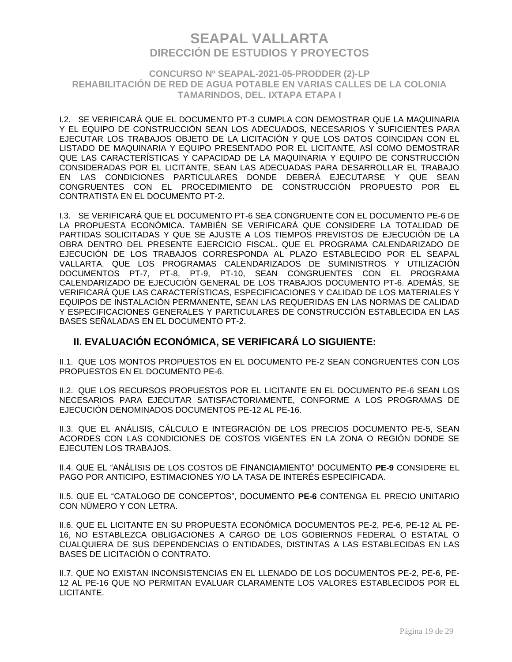### **CONCURSO Nº SEAPAL-2021-05-PRODDER (2)-LP REHABILITACIÓN DE RED DE AGUA POTABLE EN VARIAS CALLES DE LA COLONIA TAMARINDOS, DEL. IXTAPA ETAPA I**

I.2. SE VERIFICARÁ QUE EL DOCUMENTO PT-3 CUMPLA CON DEMOSTRAR QUE LA MAQUINARIA Y EL EQUIPO DE CONSTRUCCIÓN SEAN LOS ADECUADOS, NECESARIOS Y SUFICIENTES PARA EJECUTAR LOS TRABAJOS OBJETO DE LA LICITACIÓN Y QUE LOS DATOS COINCIDAN CON EL LISTADO DE MAQUINARIA Y EQUIPO PRESENTADO POR EL LICITANTE, ASÍ COMO DEMOSTRAR QUE LAS CARACTERÍSTICAS Y CAPACIDAD DE LA MAQUINARIA Y EQUIPO DE CONSTRUCCIÓN CONSIDERADAS POR EL LICITANTE, SEAN LAS ADECUADAS PARA DESARROLLAR EL TRABAJO EN LAS CONDICIONES PARTICULARES DONDE DEBERÁ EJECUTARSE Y QUE SEAN CONGRUENTES CON EL PROCEDIMIENTO DE CONSTRUCCIÓN PROPUESTO POR EL CONTRATISTA EN EL DOCUMENTO PT-2.

I.3. SE VERIFICARÁ QUE EL DOCUMENTO PT-6 SEA CONGRUENTE CON EL DOCUMENTO PE-6 DE LA PROPUESTA ECONÓMICA. TAMBIÉN SE VERIFICARÁ QUE CONSIDERE LA TOTALIDAD DE PARTIDAS SOLICITADAS Y QUE SE AJUSTE A LOS TIEMPOS PREVISTOS DE EJECUCIÓN DE LA OBRA DENTRO DEL PRESENTE EJERCICIO FISCAL. QUE EL PROGRAMA CALENDARIZADO DE EJECUCIÓN DE LOS TRABAJOS CORRESPONDA AL PLAZO ESTABLECIDO POR EL SEAPAL VALLARTA. QUE LOS PROGRAMAS CALENDARIZADOS DE SUMINISTROS Y UTILIZACIÓN DOCUMENTOS PT-7, PT-8, PT-9, PT-10, SEAN CONGRUENTES CON EL PROGRAMA CALENDARIZADO DE EJECUCIÓN GENERAL DE LOS TRABAJOS DOCUMENTO PT-6. ADEMÁS, SE VERIFICARÁ QUE LAS CARACTERÍSTICAS, ESPECIFICACIONES Y CALIDAD DE LOS MATERIALES Y EQUIPOS DE INSTALACIÓN PERMANENTE, SEAN LAS REQUERIDAS EN LAS NORMAS DE CALIDAD Y ESPECIFICACIONES GENERALES Y PARTICULARES DE CONSTRUCCIÓN ESTABLECIDA EN LAS BASES SEÑALADAS EN EL DOCUMENTO PT-2.

## **II. EVALUACIÓN ECONÓMICA, SE VERIFICARÁ LO SIGUIENTE:**

II.1. QUE LOS MONTOS PROPUESTOS EN EL DOCUMENTO PE-2 SEAN CONGRUENTES CON LOS PROPUESTOS EN EL DOCUMENTO PE-6.

II.2. QUE LOS RECURSOS PROPUESTOS POR EL LICITANTE EN EL DOCUMENTO PE-6 SEAN LOS NECESARIOS PARA EJECUTAR SATISFACTORIAMENTE, CONFORME A LOS PROGRAMAS DE EJECUCIÓN DENOMINADOS DOCUMENTOS PE-12 AL PE-16.

II.3. QUE EL ANÁLISIS, CÁLCULO E INTEGRACIÓN DE LOS PRECIOS DOCUMENTO PE-5, SEAN ACORDES CON LAS CONDICIONES DE COSTOS VIGENTES EN LA ZONA O REGIÓN DONDE SE EJECUTEN LOS TRABAJOS.

II.4. QUE EL "ANÁLISIS DE LOS COSTOS DE FINANCIAMIENTO" DOCUMENTO **PE-9** CONSIDERE EL PAGO POR ANTICIPO, ESTIMACIONES Y/O LA TASA DE INTERÉS ESPECIFICADA.

II.5. QUE EL "CATALOGO DE CONCEPTOS", DOCUMENTO **PE-6** CONTENGA EL PRECIO UNITARIO CON NÚMERO Y CON LETRA.

II.6. QUE EL LICITANTE EN SU PROPUESTA ECONÓMICA DOCUMENTOS PE-2, PE-6, PE-12 AL PE-16, NO ESTABLEZCA OBLIGACIONES A CARGO DE LOS GOBIERNOS FEDERAL O ESTATAL O CUALQUIERA DE SUS DEPENDENCIAS O ENTIDADES, DISTINTAS A LAS ESTABLECIDAS EN LAS BASES DE LICITACIÓN O CONTRATO.

II.7. QUE NO EXISTAN INCONSISTENCIAS EN EL LLENADO DE LOS DOCUMENTOS PE-2, PE-6, PE-12 AL PE-16 QUE NO PERMITAN EVALUAR CLARAMENTE LOS VALORES ESTABLECIDOS POR EL LICITANTE.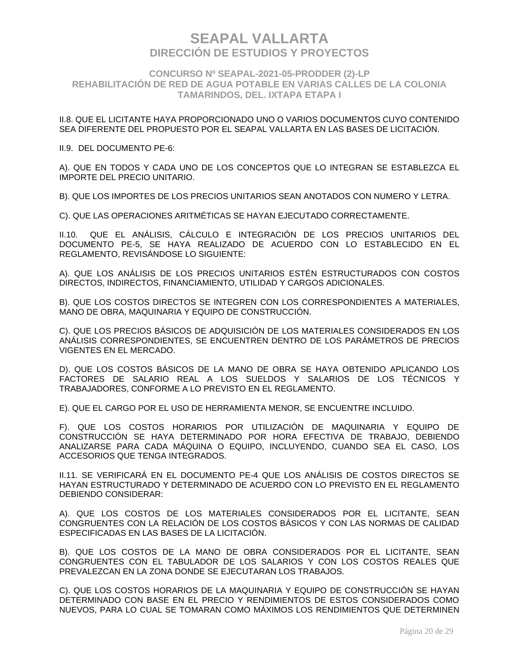### **CONCURSO Nº SEAPAL-2021-05-PRODDER (2)-LP REHABILITACIÓN DE RED DE AGUA POTABLE EN VARIAS CALLES DE LA COLONIA TAMARINDOS, DEL. IXTAPA ETAPA I**

II.8. QUE EL LICITANTE HAYA PROPORCIONADO UNO O VARIOS DOCUMENTOS CUYO CONTENIDO SEA DIFERENTE DEL PROPUESTO POR EL SEAPAL VALLARTA EN LAS BASES DE LICITACIÓN.

#### II.9. DEL DOCUMENTO PE-6:

A). QUE EN TODOS Y CADA UNO DE LOS CONCEPTOS QUE LO INTEGRAN SE ESTABLEZCA EL IMPORTE DEL PRECIO UNITARIO.

B). QUE LOS IMPORTES DE LOS PRECIOS UNITARIOS SEAN ANOTADOS CON NUMERO Y LETRA.

C). QUE LAS OPERACIONES ARITMÉTICAS SE HAYAN EJECUTADO CORRECTAMENTE.

II.10. QUE EL ANÁLISIS, CÁLCULO E INTEGRACIÓN DE LOS PRECIOS UNITARIOS DEL DOCUMENTO PE-5, SE HAYA REALIZADO DE ACUERDO CON LO ESTABLECIDO EN EL REGLAMENTO, REVISÁNDOSE LO SIGUIENTE:

A). QUE LOS ANÁLISIS DE LOS PRECIOS UNITARIOS ESTÉN ESTRUCTURADOS CON COSTOS DIRECTOS, INDIRECTOS, FINANCIAMIENTO, UTILIDAD Y CARGOS ADICIONALES.

B). QUE LOS COSTOS DIRECTOS SE INTEGREN CON LOS CORRESPONDIENTES A MATERIALES, MANO DE OBRA, MAQUINARIA Y EQUIPO DE CONSTRUCCIÓN.

C). QUE LOS PRECIOS BÁSICOS DE ADQUISICIÓN DE LOS MATERIALES CONSIDERADOS EN LOS ANÁLISIS CORRESPONDIENTES, SE ENCUENTREN DENTRO DE LOS PARÁMETROS DE PRECIOS VIGENTES EN EL MERCADO.

D). QUE LOS COSTOS BÁSICOS DE LA MANO DE OBRA SE HAYA OBTENIDO APLICANDO LOS FACTORES DE SALARIO REAL A LOS SUELDOS Y SALARIOS DE LOS TÉCNICOS Y TRABAJADORES, CONFORME A LO PREVISTO EN EL REGLAMENTO.

E). QUE EL CARGO POR EL USO DE HERRAMIENTA MENOR, SE ENCUENTRE INCLUIDO.

F). QUE LOS COSTOS HORARIOS POR UTILIZACIÓN DE MAQUINARIA Y EQUIPO DE CONSTRUCCIÓN SE HAYA DETERMINADO POR HORA EFECTIVA DE TRABAJO, DEBIENDO ANALIZARSE PARA CADA MÁQUINA O EQUIPO, INCLUYENDO, CUANDO SEA EL CASO, LOS ACCESORIOS QUE TENGA INTEGRADOS.

II.11. SE VERIFICARÁ EN EL DOCUMENTO PE-4 QUE LOS ANÁLISIS DE COSTOS DIRECTOS SE HAYAN ESTRUCTURADO Y DETERMINADO DE ACUERDO CON LO PREVISTO EN EL REGLAMENTO DEBIENDO CONSIDERAR:

A). QUE LOS COSTOS DE LOS MATERIALES CONSIDERADOS POR EL LICITANTE, SEAN CONGRUENTES CON LA RELACIÓN DE LOS COSTOS BÁSICOS Y CON LAS NORMAS DE CALIDAD ESPECIFICADAS EN LAS BASES DE LA LICITACIÓN.

B). QUE LOS COSTOS DE LA MANO DE OBRA CONSIDERADOS POR EL LICITANTE, SEAN CONGRUENTES CON EL TABULADOR DE LOS SALARIOS Y CON LOS COSTOS REALES QUE PREVALEZCAN EN LA ZONA DONDE SE EJECUTARAN LOS TRABAJOS.

C). QUE LOS COSTOS HORARIOS DE LA MAQUINARIA Y EQUIPO DE CONSTRUCCIÓN SE HAYAN DETERMINADO CON BASE EN EL PRECIO Y RENDIMIENTOS DE ESTOS CONSIDERADOS COMO NUEVOS, PARA LO CUAL SE TOMARAN COMO MÁXIMOS LOS RENDIMIENTOS QUE DETERMINEN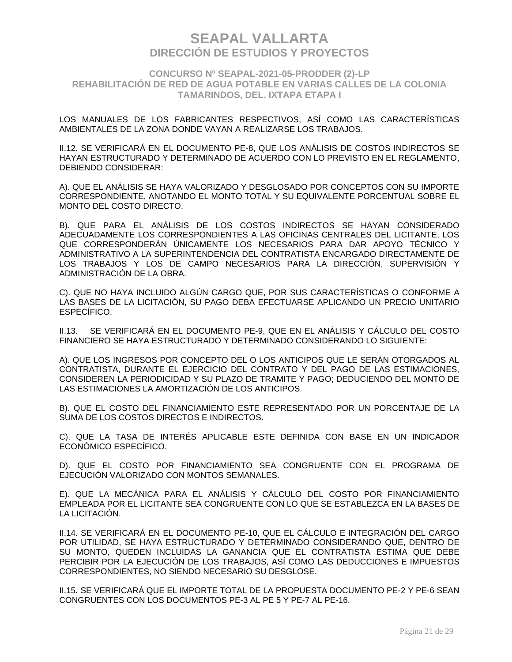### **CONCURSO Nº SEAPAL-2021-05-PRODDER (2)-LP REHABILITACIÓN DE RED DE AGUA POTABLE EN VARIAS CALLES DE LA COLONIA TAMARINDOS, DEL. IXTAPA ETAPA I**

LOS MANUALES DE LOS FABRICANTES RESPECTIVOS, ASÍ COMO LAS CARACTERÍSTICAS AMBIENTALES DE LA ZONA DONDE VAYAN A REALIZARSE LOS TRABAJOS.

II.12. SE VERIFICARÁ EN EL DOCUMENTO PE-8, QUE LOS ANÁLISIS DE COSTOS INDIRECTOS SE HAYAN ESTRUCTURADO Y DETERMINADO DE ACUERDO CON LO PREVISTO EN EL REGLAMENTO, DEBIENDO CONSIDERAR:

A). QUE EL ANÁLISIS SE HAYA VALORIZADO Y DESGLOSADO POR CONCEPTOS CON SU IMPORTE CORRESPONDIENTE, ANOTANDO EL MONTO TOTAL Y SU EQUIVALENTE PORCENTUAL SOBRE EL MONTO DEL COSTO DIRECTO.

B). QUE PARA EL ANÁLISIS DE LOS COSTOS INDIRECTOS SE HAYAN CONSIDERADO ADECUADAMENTE LOS CORRESPONDIENTES A LAS OFICINAS CENTRALES DEL LICITANTE, LOS QUE CORRESPONDERÁN ÚNICAMENTE LOS NECESARIOS PARA DAR APOYO TÉCNICO Y ADMINISTRATIVO A LA SUPERINTENDENCIA DEL CONTRATISTA ENCARGADO DIRECTAMENTE DE LOS TRABAJOS Y LOS DE CAMPO NECESARIOS PARA LA DIRECCIÓN, SUPERVISIÓN Y ADMINISTRACIÓN DE LA OBRA.

C). QUE NO HAYA INCLUIDO ALGÚN CARGO QUE, POR SUS CARACTERÍSTICAS O CONFORME A LAS BASES DE LA LICITACIÓN, SU PAGO DEBA EFECTUARSE APLICANDO UN PRECIO UNITARIO ESPECÍFICO.

II.13. SE VERIFICARÁ EN EL DOCUMENTO PE-9, QUE EN EL ANÁLISIS Y CÁLCULO DEL COSTO FINANCIERO SE HAYA ESTRUCTURADO Y DETERMINADO CONSIDERANDO LO SIGUIENTE:

A). QUE LOS INGRESOS POR CONCEPTO DEL O LOS ANTICIPOS QUE LE SERÁN OTORGADOS AL CONTRATISTA, DURANTE EL EJERCICIO DEL CONTRATO Y DEL PAGO DE LAS ESTIMACIONES, CONSIDEREN LA PERIODICIDAD Y SU PLAZO DE TRAMITE Y PAGO; DEDUCIENDO DEL MONTO DE LAS ESTIMACIONES LA AMORTIZACIÓN DE LOS ANTICIPOS.

B). QUE EL COSTO DEL FINANCIAMIENTO ESTE REPRESENTADO POR UN PORCENTAJE DE LA SUMA DE LOS COSTOS DIRECTOS E INDIRECTOS.

C). QUE LA TASA DE INTERÉS APLICABLE ESTE DEFINIDA CON BASE EN UN INDICADOR ECONÓMICO ESPECÍFICO.

D). QUE EL COSTO POR FINANCIAMIENTO SEA CONGRUENTE CON EL PROGRAMA DE EJECUCIÓN VALORIZADO CON MONTOS SEMANALES.

E). QUE LA MECÁNICA PARA EL ANÁLISIS Y CÁLCULO DEL COSTO POR FINANCIAMIENTO EMPLEADA POR EL LICITANTE SEA CONGRUENTE CON LO QUE SE ESTABLEZCA EN LA BASES DE LA LICITACIÓN.

II.14. SE VERIFICARÁ EN EL DOCUMENTO PE-10, QUE EL CÁLCULO E INTEGRACIÓN DEL CARGO POR UTILIDAD, SE HAYA ESTRUCTURADO Y DETERMINADO CONSIDERANDO QUE, DENTRO DE SU MONTO, QUEDEN INCLUIDAS LA GANANCIA QUE EL CONTRATISTA ESTIMA QUE DEBE PERCIBIR POR LA EJECUCIÓN DE LOS TRABAJOS, ASÍ COMO LAS DEDUCCIONES E IMPUESTOS CORRESPONDIENTES, NO SIENDO NECESARIO SU DESGLOSE.

II.15. SE VERIFICARÁ QUE EL IMPORTE TOTAL DE LA PROPUESTA DOCUMENTO PE-2 Y PE-6 SEAN CONGRUENTES CON LOS DOCUMENTOS PE-3 AL PE 5 Y PE-7 AL PE-16.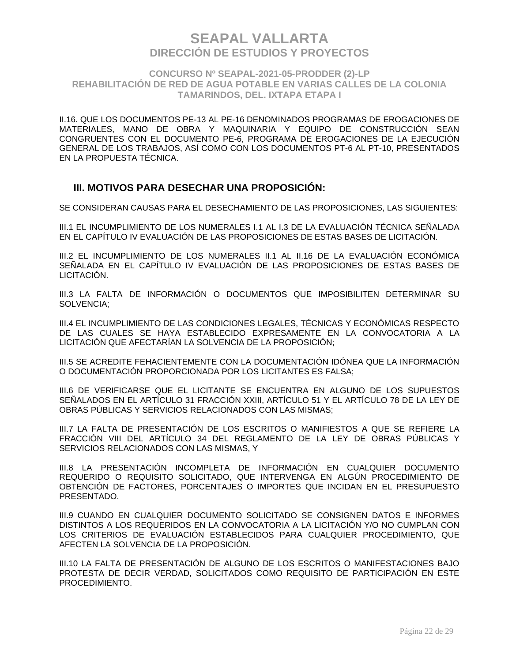### **CONCURSO Nº SEAPAL-2021-05-PRODDER (2)-LP REHABILITACIÓN DE RED DE AGUA POTABLE EN VARIAS CALLES DE LA COLONIA TAMARINDOS, DEL. IXTAPA ETAPA I**

II.16. QUE LOS DOCUMENTOS PE-13 AL PE-16 DENOMINADOS PROGRAMAS DE EROGACIONES DE MATERIALES, MANO DE OBRA Y MAQUINARIA Y EQUIPO DE CONSTRUCCIÓN SEAN CONGRUENTES CON EL DOCUMENTO PE-6, PROGRAMA DE EROGACIONES DE LA EJECUCIÓN GENERAL DE LOS TRABAJOS, ASÍ COMO CON LOS DOCUMENTOS PT-6 AL PT-10, PRESENTADOS EN LA PROPUESTA TÉCNICA.

### **III. MOTIVOS PARA DESECHAR UNA PROPOSICIÓN:**

SE CONSIDERAN CAUSAS PARA EL DESECHAMIENTO DE LAS PROPOSICIONES, LAS SIGUIENTES:

III.1 EL INCUMPLIMIENTO DE LOS NUMERALES I.1 AL I.3 DE LA EVALUACIÓN TÉCNICA SEÑALADA EN EL CAPÍTULO IV EVALUACIÓN DE LAS PROPOSICIONES DE ESTAS BASES DE LICITACIÓN.

III.2 EL INCUMPLIMIENTO DE LOS NUMERALES II.1 AL II.16 DE LA EVALUACIÓN ECONÓMICA SEÑALADA EN EL CAPÍTULO IV EVALUACIÓN DE LAS PROPOSICIONES DE ESTAS BASES DE LICITACIÓN.

III.3 LA FALTA DE INFORMACIÓN O DOCUMENTOS QUE IMPOSIBILITEN DETERMINAR SU SOLVENCIA;

III.4 EL INCUMPLIMIENTO DE LAS CONDICIONES LEGALES, TÉCNICAS Y ECONÓMICAS RESPECTO DE LAS CUALES SE HAYA ESTABLECIDO EXPRESAMENTE EN LA CONVOCATORIA A LA LICITACIÓN QUE AFECTARÍAN LA SOLVENCIA DE LA PROPOSICIÓN;

III.5 SE ACREDITE FEHACIENTEMENTE CON LA DOCUMENTACIÓN IDÓNEA QUE LA INFORMACIÓN O DOCUMENTACIÓN PROPORCIONADA POR LOS LICITANTES ES FALSA;

III.6 DE VERIFICARSE QUE EL LICITANTE SE ENCUENTRA EN ALGUNO DE LOS SUPUESTOS SEÑALADOS EN EL ARTÍCULO 31 FRACCIÓN XXIII, ARTÍCULO 51 Y EL ARTÍCULO 78 DE LA LEY DE OBRAS PÚBLICAS Y SERVICIOS RELACIONADOS CON LAS MISMAS;

III.7 LA FALTA DE PRESENTACIÓN DE LOS ESCRITOS O MANIFIESTOS A QUE SE REFIERE LA FRACCIÓN VIII DEL ARTÍCULO 34 DEL REGLAMENTO DE LA LEY DE OBRAS PÚBLICAS Y SERVICIOS RELACIONADOS CON LAS MISMAS, Y

III.8 LA PRESENTACIÓN INCOMPLETA DE INFORMACIÓN EN CUALQUIER DOCUMENTO REQUERIDO O REQUISITO SOLICITADO, QUE INTERVENGA EN ALGÚN PROCEDIMIENTO DE OBTENCIÓN DE FACTORES, PORCENTAJES O IMPORTES QUE INCIDAN EN EL PRESUPUESTO PRESENTADO.

III.9 CUANDO EN CUALQUIER DOCUMENTO SOLICITADO SE CONSIGNEN DATOS E INFORMES DISTINTOS A LOS REQUERIDOS EN LA CONVOCATORIA A LA LICITACIÓN Y/O NO CUMPLAN CON LOS CRITERIOS DE EVALUACIÓN ESTABLECIDOS PARA CUALQUIER PROCEDIMIENTO, QUE AFECTEN LA SOLVENCIA DE LA PROPOSICIÓN.

III.10 LA FALTA DE PRESENTACIÓN DE ALGUNO DE LOS ESCRITOS O MANIFESTACIONES BAJO PROTESTA DE DECIR VERDAD, SOLICITADOS COMO REQUISITO DE PARTICIPACIÓN EN ESTE PROCEDIMIENTO.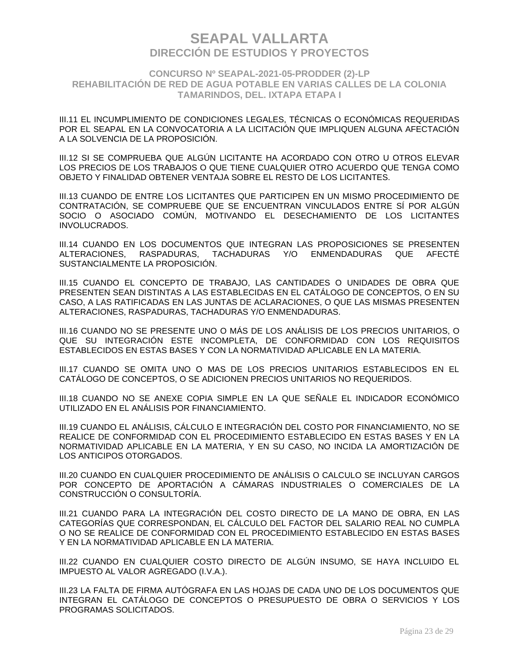### **CONCURSO Nº SEAPAL-2021-05-PRODDER (2)-LP REHABILITACIÓN DE RED DE AGUA POTABLE EN VARIAS CALLES DE LA COLONIA TAMARINDOS, DEL. IXTAPA ETAPA I**

III.11 EL INCUMPLIMIENTO DE CONDICIONES LEGALES, TÉCNICAS O ECONÓMICAS REQUERIDAS POR EL SEAPAL EN LA CONVOCATORIA A LA LICITACIÓN QUE IMPLIQUEN ALGUNA AFECTACIÓN A LA SOLVENCIA DE LA PROPOSICIÓN.

III.12 SI SE COMPRUEBA QUE ALGÚN LICITANTE HA ACORDADO CON OTRO U OTROS ELEVAR LOS PRECIOS DE LOS TRABAJOS O QUE TIENE CUALQUIER OTRO ACUERDO QUE TENGA COMO OBJETO Y FINALIDAD OBTENER VENTAJA SOBRE EL RESTO DE LOS LICITANTES.

III.13 CUANDO DE ENTRE LOS LICITANTES QUE PARTICIPEN EN UN MISMO PROCEDIMIENTO DE CONTRATACIÓN, SE COMPRUEBE QUE SE ENCUENTRAN VINCULADOS ENTRE SÍ POR ALGÚN SOCIO O ASOCIADO COMÚN, MOTIVANDO EL DESECHAMIENTO DE LOS LICITANTES INVOLUCRADOS.

III.14 CUANDO EN LOS DOCUMENTOS QUE INTEGRAN LAS PROPOSICIONES SE PRESENTEN ALTERACIONES, RASPADURAS, TACHADURAS Y/O ENMENDADURAS QUE AFECTÉ SUSTANCIALMENTE LA PROPOSICIÓN.

III.15 CUANDO EL CONCEPTO DE TRABAJO, LAS CANTIDADES O UNIDADES DE OBRA QUE PRESENTEN SEAN DISTINTAS A LAS ESTABLECIDAS EN EL CATÁLOGO DE CONCEPTOS, O EN SU CASO, A LAS RATIFICADAS EN LAS JUNTAS DE ACLARACIONES, O QUE LAS MISMAS PRESENTEN ALTERACIONES, RASPADURAS, TACHADURAS Y/O ENMENDADURAS.

III.16 CUANDO NO SE PRESENTE UNO O MÁS DE LOS ANÁLISIS DE LOS PRECIOS UNITARIOS, O QUE SU INTEGRACIÓN ESTE INCOMPLETA, DE CONFORMIDAD CON LOS REQUISITOS ESTABLECIDOS EN ESTAS BASES Y CON LA NORMATIVIDAD APLICABLE EN LA MATERIA.

III.17 CUANDO SE OMITA UNO O MAS DE LOS PRECIOS UNITARIOS ESTABLECIDOS EN EL CATÁLOGO DE CONCEPTOS, O SE ADICIONEN PRECIOS UNITARIOS NO REQUERIDOS.

III.18 CUANDO NO SE ANEXE COPIA SIMPLE EN LA QUE SEÑALE EL INDICADOR ECONÓMICO UTILIZADO EN EL ANÁLISIS POR FINANCIAMIENTO.

III.19 CUANDO EL ANÁLISIS, CÁLCULO E INTEGRACIÓN DEL COSTO POR FINANCIAMIENTO, NO SE REALICE DE CONFORMIDAD CON EL PROCEDIMIENTO ESTABLECIDO EN ESTAS BASES Y EN LA NORMATIVIDAD APLICABLE EN LA MATERIA, Y EN SU CASO, NO INCIDA LA AMORTIZACIÓN DE LOS ANTICIPOS OTORGADOS.

III.20 CUANDO EN CUALQUIER PROCEDIMIENTO DE ANÁLISIS O CALCULO SE INCLUYAN CARGOS POR CONCEPTO DE APORTACIÓN A CÁMARAS INDUSTRIALES O COMERCIALES DE LA CONSTRUCCIÓN O CONSULTORÍA.

III.21 CUANDO PARA LA INTEGRACIÓN DEL COSTO DIRECTO DE LA MANO DE OBRA, EN LAS CATEGORÍAS QUE CORRESPONDAN, EL CÁLCULO DEL FACTOR DEL SALARIO REAL NO CUMPLA O NO SE REALICE DE CONFORMIDAD CON EL PROCEDIMIENTO ESTABLECIDO EN ESTAS BASES Y EN LA NORMATIVIDAD APLICABLE EN LA MATERIA.

III.22 CUANDO EN CUALQUIER COSTO DIRECTO DE ALGÚN INSUMO, SE HAYA INCLUIDO EL IMPUESTO AL VALOR AGREGADO (I.V.A.).

III.23 LA FALTA DE FIRMA AUTÓGRAFA EN LAS HOJAS DE CADA UNO DE LOS DOCUMENTOS QUE INTEGRAN EL CATÁLOGO DE CONCEPTOS O PRESUPUESTO DE OBRA O SERVICIOS Y LOS PROGRAMAS SOLICITADOS.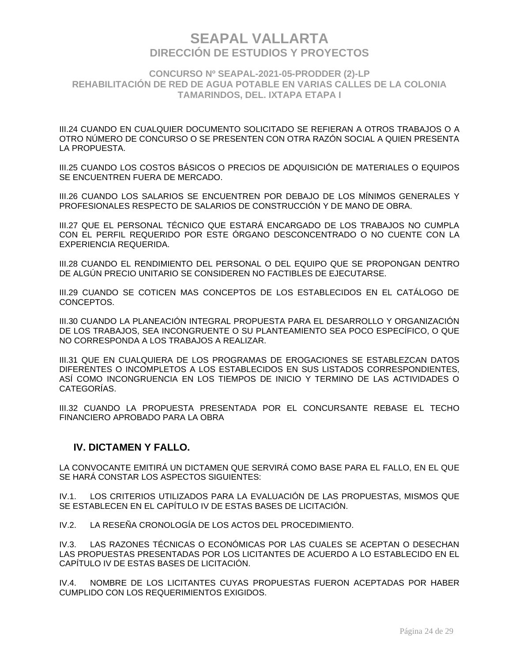**CONCURSO Nº SEAPAL-2021-05-PRODDER (2)-LP REHABILITACIÓN DE RED DE AGUA POTABLE EN VARIAS CALLES DE LA COLONIA TAMARINDOS, DEL. IXTAPA ETAPA I**

III.24 CUANDO EN CUALQUIER DOCUMENTO SOLICITADO SE REFIERAN A OTROS TRABAJOS O A OTRO NÚMERO DE CONCURSO O SE PRESENTEN CON OTRA RAZÓN SOCIAL A QUIEN PRESENTA LA PROPUESTA.

III.25 CUANDO LOS COSTOS BÁSICOS O PRECIOS DE ADQUISICIÓN DE MATERIALES O EQUIPOS SE ENCUENTREN FUERA DE MERCADO.

III.26 CUANDO LOS SALARIOS SE ENCUENTREN POR DEBAJO DE LOS MÍNIMOS GENERALES Y PROFESIONALES RESPECTO DE SALARIOS DE CONSTRUCCIÓN Y DE MANO DE OBRA.

III.27 QUE EL PERSONAL TÉCNICO QUE ESTARÁ ENCARGADO DE LOS TRABAJOS NO CUMPLA CON EL PERFIL REQUERIDO POR ESTE ÓRGANO DESCONCENTRADO O NO CUENTE CON LA EXPERIENCIA REQUERIDA.

III.28 CUANDO EL RENDIMIENTO DEL PERSONAL O DEL EQUIPO QUE SE PROPONGAN DENTRO DE ALGÚN PRECIO UNITARIO SE CONSIDEREN NO FACTIBLES DE EJECUTARSE.

III.29 CUANDO SE COTICEN MAS CONCEPTOS DE LOS ESTABLECIDOS EN EL CATÁLOGO DE CONCEPTOS.

III.30 CUANDO LA PLANEACIÓN INTEGRAL PROPUESTA PARA EL DESARROLLO Y ORGANIZACIÓN DE LOS TRABAJOS, SEA INCONGRUENTE O SU PLANTEAMIENTO SEA POCO ESPECÍFICO, O QUE NO CORRESPONDA A LOS TRABAJOS A REALIZAR.

III.31 QUE EN CUALQUIERA DE LOS PROGRAMAS DE EROGACIONES SE ESTABLEZCAN DATOS DIFERENTES O INCOMPLETOS A LOS ESTABLECIDOS EN SUS LISTADOS CORRESPONDIENTES, ASÍ COMO INCONGRUENCIA EN LOS TIEMPOS DE INICIO Y TERMINO DE LAS ACTIVIDADES O CATEGORÍAS.

III.32 CUANDO LA PROPUESTA PRESENTADA POR EL CONCURSANTE REBASE EL TECHO FINANCIERO APROBADO PARA LA OBRA

### **IV. DICTAMEN Y FALLO.**

LA CONVOCANTE EMITIRÁ UN DICTAMEN QUE SERVIRÁ COMO BASE PARA EL FALLO, EN EL QUE SE HARÁ CONSTAR LOS ASPECTOS SIGUIENTES:

IV.1. LOS CRITERIOS UTILIZADOS PARA LA EVALUACIÓN DE LAS PROPUESTAS, MISMOS QUE SE ESTABLECEN EN EL CAPÍTULO IV DE ESTAS BASES DE LICITACIÓN.

IV.2. LA RESEÑA CRONOLOGÍA DE LOS ACTOS DEL PROCEDIMIENTO.

IV.3. LAS RAZONES TÉCNICAS O ECONÓMICAS POR LAS CUALES SE ACEPTAN O DESECHAN LAS PROPUESTAS PRESENTADAS POR LOS LICITANTES DE ACUERDO A LO ESTABLECIDO EN EL CAPÍTULO IV DE ESTAS BASES DE LICITACIÓN.

IV.4. NOMBRE DE LOS LICITANTES CUYAS PROPUESTAS FUERON ACEPTADAS POR HABER CUMPLIDO CON LOS REQUERIMIENTOS EXIGIDOS.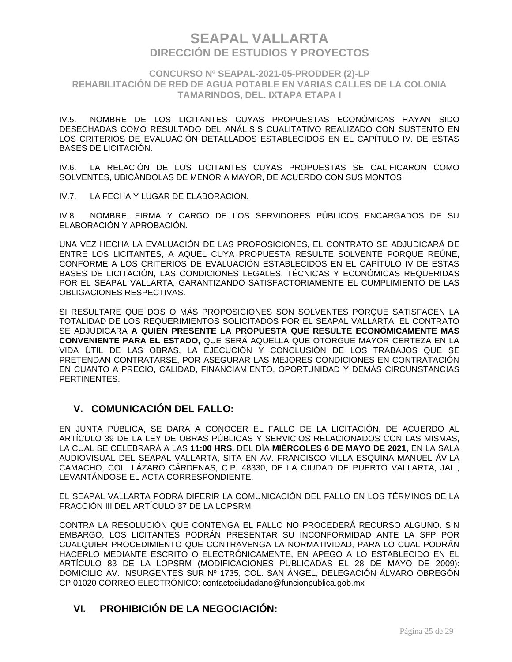### **CONCURSO Nº SEAPAL-2021-05-PRODDER (2)-LP REHABILITACIÓN DE RED DE AGUA POTABLE EN VARIAS CALLES DE LA COLONIA TAMARINDOS, DEL. IXTAPA ETAPA I**

IV.5. NOMBRE DE LOS LICITANTES CUYAS PROPUESTAS ECONÓMICAS HAYAN SIDO DESECHADAS COMO RESULTADO DEL ANÁLISIS CUALITATIVO REALIZADO CON SUSTENTO EN LOS CRITERIOS DE EVALUACIÓN DETALLADOS ESTABLECIDOS EN EL CAPÍTULO IV. DE ESTAS BASES DE LICITACIÓN.

IV.6. LA RELACIÓN DE LOS LICITANTES CUYAS PROPUESTAS SE CALIFICARON COMO SOLVENTES, UBICÁNDOLAS DE MENOR A MAYOR, DE ACUERDO CON SUS MONTOS.

IV.7. LA FECHA Y LUGAR DE ELABORACIÓN.

IV.8. NOMBRE, FIRMA Y CARGO DE LOS SERVIDORES PÚBLICOS ENCARGADOS DE SU ELABORACIÓN Y APROBACIÓN.

UNA VEZ HECHA LA EVALUACIÓN DE LAS PROPOSICIONES, EL CONTRATO SE ADJUDICARÁ DE ENTRE LOS LICITANTES, A AQUEL CUYA PROPUESTA RESULTE SOLVENTE PORQUE REÚNE, CONFORME A LOS CRITERIOS DE EVALUACIÓN ESTABLECIDOS EN EL CAPÍTULO IV DE ESTAS BASES DE LICITACIÓN, LAS CONDICIONES LEGALES, TÉCNICAS Y ECONÓMICAS REQUERIDAS POR EL SEAPAL VALLARTA, GARANTIZANDO SATISFACTORIAMENTE EL CUMPLIMIENTO DE LAS OBLIGACIONES RESPECTIVAS.

SI RESULTARE QUE DOS O MÁS PROPOSICIONES SON SOLVENTES PORQUE SATISFACEN LA TOTALIDAD DE LOS REQUERIMIENTOS SOLICITADOS POR EL SEAPAL VALLARTA, EL CONTRATO SE ADJUDICARA **A QUIEN PRESENTE LA PROPUESTA QUE RESULTE ECONÓMICAMENTE MAS CONVENIENTE PARA EL ESTADO,** QUE SERÁ AQUELLA QUE OTORGUE MAYOR CERTEZA EN LA VIDA ÚTIL DE LAS OBRAS, LA EJECUCIÓN Y CONCLUSIÓN DE LOS TRABAJOS QUE SE PRETENDAN CONTRATARSE, POR ASEGURAR LAS MEJORES CONDICIONES EN CONTRATACIÓN EN CUANTO A PRECIO, CALIDAD, FINANCIAMIENTO, OPORTUNIDAD Y DEMÁS CIRCUNSTANCIAS PERTINENTES.

## **V. COMUNICACIÓN DEL FALLO:**

EN JUNTA PÚBLICA, SE DARÁ A CONOCER EL FALLO DE LA LICITACIÓN, DE ACUERDO AL ARTÍCULO 39 DE LA LEY DE OBRAS PÚBLICAS Y SERVICIOS RELACIONADOS CON LAS MISMAS, LA CUAL SE CELEBRARÁ A LAS **11:00 HRS.** DEL DÍA **MIÉRCOLES 6 DE MAYO DE 2021,** EN LA SALA AUDIOVISUAL DEL SEAPAL VALLARTA, SITA EN AV. FRANCISCO VILLA ESQUINA MANUEL ÁVILA CAMACHO, COL. LÁZARO CÁRDENAS, C.P. 48330, DE LA CIUDAD DE PUERTO VALLARTA, JAL., LEVANTÁNDOSE EL ACTA CORRESPONDIENTE.

EL SEAPAL VALLARTA PODRÁ DIFERIR LA COMUNICACIÓN DEL FALLO EN LOS TÉRMINOS DE LA FRACCIÓN III DEL ARTÍCULO 37 DE LA LOPSRM.

CONTRA LA RESOLUCIÓN QUE CONTENGA EL FALLO NO PROCEDERÁ RECURSO ALGUNO. SIN EMBARGO, LOS LICITANTES PODRÁN PRESENTAR SU INCONFORMIDAD ANTE LA SFP POR CUALQUIER PROCEDIMIENTO QUE CONTRAVENGA LA NORMATIVIDAD, PARA LO CUAL PODRÁN HACERLO MEDIANTE ESCRITO O ELECTRÓNICAMENTE, EN APEGO A LO ESTABLECIDO EN EL ARTÍCULO 83 DE LA LOPSRM (MODIFICACIONES PUBLICADAS EL 28 DE MAYO DE 2009): DOMICILIO AV. INSURGENTES SUR Nº 1735, COL. SAN ÁNGEL, DELEGACIÓN ÁLVARO OBREGÓN CP 01020 CORREO ELECTRÓNICO: contactociudadano@funcionpublica.gob.mx

## **VI. PROHIBICIÓN DE LA NEGOCIACIÓN:**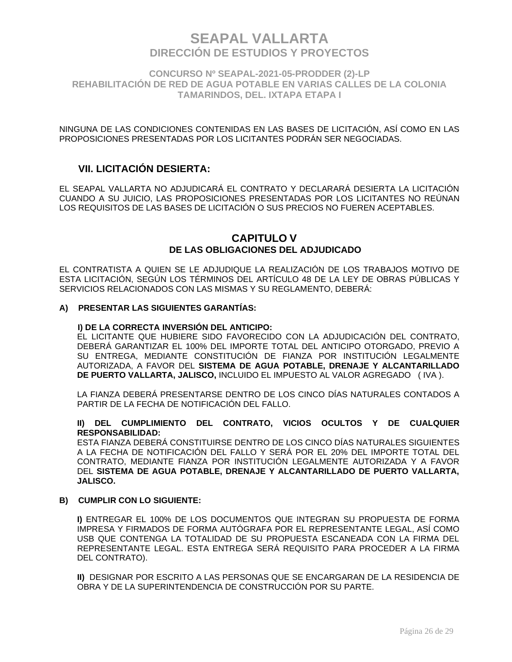**CONCURSO Nº SEAPAL-2021-05-PRODDER (2)-LP REHABILITACIÓN DE RED DE AGUA POTABLE EN VARIAS CALLES DE LA COLONIA TAMARINDOS, DEL. IXTAPA ETAPA I**

NINGUNA DE LAS CONDICIONES CONTENIDAS EN LAS BASES DE LICITACIÓN, ASÍ COMO EN LAS PROPOSICIONES PRESENTADAS POR LOS LICITANTES PODRÁN SER NEGOCIADAS.

## **VII. LICITACIÓN DESIERTA:**

EL SEAPAL VALLARTA NO ADJUDICARÁ EL CONTRATO Y DECLARARÁ DESIERTA LA LICITACIÓN CUANDO A SU JUICIO, LAS PROPOSICIONES PRESENTADAS POR LOS LICITANTES NO REÚNAN LOS REQUISITOS DE LAS BASES DE LICITACIÓN O SUS PRECIOS NO FUEREN ACEPTABLES.

### **CAPITULO V DE LAS OBLIGACIONES DEL ADJUDICADO**

EL CONTRATISTA A QUIEN SE LE ADJUDIQUE LA REALIZACIÓN DE LOS TRABAJOS MOTIVO DE ESTA LICITACIÓN, SEGÚN LOS TÉRMINOS DEL ARTÍCULO 48 DE LA LEY DE OBRAS PÚBLICAS Y SERVICIOS RELACIONADOS CON LAS MISMAS Y SU REGLAMENTO, DEBERÁ:

### **A) PRESENTAR LAS SIGUIENTES GARANTÍAS:**

#### **I) DE LA CORRECTA INVERSIÓN DEL ANTICIPO:**

EL LICITANTE QUE HUBIERE SIDO FAVORECIDO CON LA ADJUDICACIÓN DEL CONTRATO, DEBERÁ GARANTIZAR EL 100% DEL IMPORTE TOTAL DEL ANTICIPO OTORGADO, PREVIO A SU ENTREGA, MEDIANTE CONSTITUCIÓN DE FIANZA POR INSTITUCIÓN LEGALMENTE AUTORIZADA, A FAVOR DEL **SISTEMA DE AGUA POTABLE, DRENAJE Y ALCANTARILLADO DE PUERTO VALLARTA, JALISCO,** INCLUIDO EL IMPUESTO AL VALOR AGREGADO ( IVA ).

LA FIANZA DEBERÁ PRESENTARSE DENTRO DE LOS CINCO DÍAS NATURALES CONTADOS A PARTIR DE LA FECHA DE NOTIFICACIÓN DEL FALLO.

### **II) DEL CUMPLIMIENTO DEL CONTRATO, VICIOS OCULTOS Y DE CUALQUIER RESPONSABILIDAD:**

ESTA FIANZA DEBERÁ CONSTITUIRSE DENTRO DE LOS CINCO DÍAS NATURALES SIGUIENTES A LA FECHA DE NOTIFICACIÓN DEL FALLO Y SERÁ POR EL 20% DEL IMPORTE TOTAL DEL CONTRATO, MEDIANTE FIANZA POR INSTITUCIÓN LEGALMENTE AUTORIZADA Y A FAVOR DEL **SISTEMA DE AGUA POTABLE, DRENAJE Y ALCANTARILLADO DE PUERTO VALLARTA, JALISCO.**

#### **B) CUMPLIR CON LO SIGUIENTE:**

**I)** ENTREGAR EL 100% DE LOS DOCUMENTOS QUE INTEGRAN SU PROPUESTA DE FORMA IMPRESA Y FIRMADOS DE FORMA AUTÓGRAFA POR EL REPRESENTANTE LEGAL, ASÍ COMO USB QUE CONTENGA LA TOTALIDAD DE SU PROPUESTA ESCANEADA CON LA FIRMA DEL REPRESENTANTE LEGAL. ESTA ENTREGA SERÁ REQUISITO PARA PROCEDER A LA FIRMA DEL CONTRATO).

**II)** DESIGNAR POR ESCRITO A LAS PERSONAS QUE SE ENCARGARAN DE LA RESIDENCIA DE OBRA Y DE LA SUPERINTENDENCIA DE CONSTRUCCIÓN POR SU PARTE.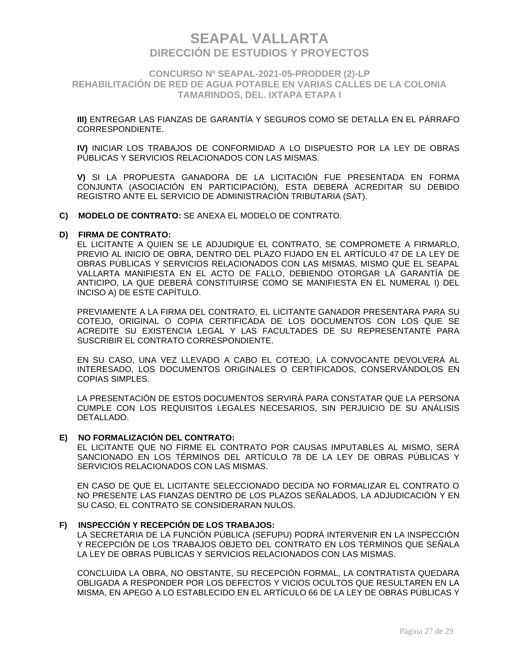### **CONCURSO Nº SEAPAL-2021-05-PRODDER (2)-LP REHABILITACIÓN DE RED DE AGUA POTABLE EN VARIAS CALLES DE LA COLONIA TAMARINDOS, DEL. IXTAPA ETAPA I**

**III)** ENTREGAR LAS FIANZAS DE GARANTÍA Y SEGUROS COMO SE DETALLA EN EL PÁRRAFO CORRESPONDIENTE.

**IV)** INICIAR LOS TRABAJOS DE CONFORMIDAD A LO DISPUESTO POR LA LEY DE OBRAS PÚBLICAS Y SERVICIOS RELACIONADOS CON LAS MISMAS.

**V)** SI LA PROPUESTA GANADORA DE LA LICITACIÓN FUE PRESENTADA EN FORMA CONJUNTA (ASOCIACIÓN EN PARTICIPACIÓN), ESTA DEBERÁ ACREDITAR SU DEBIDO REGISTRO ANTE EL SERVICIO DE ADMINISTRACIÓN TRIBUTARIA (SAT).

**C) MODELO DE CONTRATO:** SE ANEXA EL MODELO DE CONTRATO.

#### **D) FIRMA DE CONTRATO:**

EL LICITANTE A QUIEN SE LE ADJUDIQUE EL CONTRATO, SE COMPROMETE A FIRMARLO, PREVIO AL INICIO DE OBRA, DENTRO DEL PLAZO FIJADO EN EL ARTÍCULO 47 DE LA LEY DE OBRAS PÚBLICAS Y SERVICIOS RELACIONADOS CON LAS MISMAS, MISMO QUE EL SEAPAL VALLARTA MANIFIESTA EN EL ACTO DE FALLO, DEBIENDO OTORGAR LA GARANTÍA DE ANTICIPO, LA QUE DEBERÁ CONSTITUIRSE COMO SE MANIFIESTA EN EL NUMERAL I) DEL INCISO A) DE ESTE CAPÍTULO.

PREVIAMENTE A LA FIRMA DEL CONTRATO, EL LICITANTE GANADOR PRESENTARA PARA SU COTEJO, ORIGINAL O COPIA CERTIFICADA DE LOS DOCUMENTOS CON LOS QUE SE ACREDITE SU EXISTENCIA LEGAL Y LAS FACULTADES DE SU REPRESENTANTE PARA SUSCRIBIR EL CONTRATO CORRESPONDIENTE.

EN SU CASO, UNA VEZ LLEVADO A CABO EL COTEJO, LA CONVOCANTE DEVOLVERÁ AL INTERESADO, LOS DOCUMENTOS ORIGINALES O CERTIFICADOS, CONSERVÁNDOLOS EN COPIAS SIMPLES.

LA PRESENTACIÓN DE ESTOS DOCUMENTOS SERVIRÁ PARA CONSTATAR QUE LA PERSONA CUMPLE CON LOS REQUISITOS LEGALES NECESARIOS, SIN PERJUICIO DE SU ANÁLISIS DETALLADO.

#### **E) NO FORMALIZACIÓN DEL CONTRATO:**

EL LICITANTE QUE NO FIRME EL CONTRATO POR CAUSAS IMPUTABLES AL MISMO, SERÁ SANCIONADO EN LOS TÉRMINOS DEL ARTÍCULO 78 DE LA LEY DE OBRAS PÚBLICAS Y SERVICIOS RELACIONADOS CON LAS MISMAS.

EN CASO DE QUE EL LICITANTE SELECCIONADO DECIDA NO FORMALIZAR EL CONTRATO O NO PRESENTE LAS FIANZAS DENTRO DE LOS PLAZOS SEÑALADOS, LA ADJUDICACIÓN Y EN SU CASO, EL CONTRATO SE CONSIDERARAN NULOS.

#### **F) INSPECCIÓN Y RECEPCIÓN DE LOS TRABAJOS:**

LA SECRETARIA DE LA FUNCIÓN PÚBLICA (SEFUPU) PODRÁ INTERVENIR EN LA INSPECCIÓN Y RECEPCIÓN DE LOS TRABAJOS OBJETO DEL CONTRATO EN LOS TÉRMINOS QUE SEÑALA LA LEY DE OBRAS PÚBLICAS Y SERVICIOS RELACIONADOS CON LAS MISMAS.

CONCLUIDA LA OBRA, NO OBSTANTE, SU RECEPCIÓN FORMAL, LA CONTRATISTA QUEDARA OBLIGADA A RESPONDER POR LOS DEFECTOS Y VICIOS OCULTOS QUE RESULTAREN EN LA MISMA, EN APEGO A LO ESTABLECIDO EN EL ARTÍCULO 66 DE LA LEY DE OBRAS PÚBLICAS Y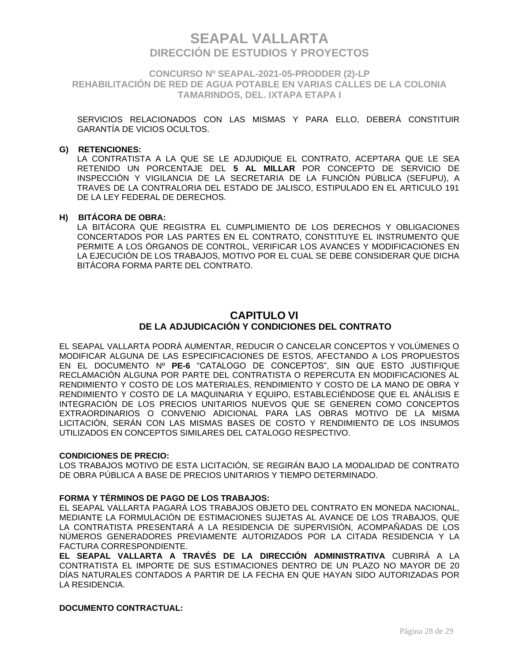**CONCURSO Nº SEAPAL-2021-05-PRODDER (2)-LP REHABILITACIÓN DE RED DE AGUA POTABLE EN VARIAS CALLES DE LA COLONIA TAMARINDOS, DEL. IXTAPA ETAPA I**

SERVICIOS RELACIONADOS CON LAS MISMAS Y PARA ELLO, DEBERÁ CONSTITUIR GARANTÍA DE VICIOS OCULTOS.

#### **G) RETENCIONES:**

LA CONTRATISTA A LA QUE SE LE ADJUDIQUE EL CONTRATO, ACEPTARA QUE LE SEA RETENIDO UN PORCENTAJE DEL **5 AL MILLAR** POR CONCEPTO DE SERVICIO DE INSPECCIÓN Y VIGILANCIA DE LA SECRETARIA DE LA FUNCIÓN PÚBLICA (SEFUPU), A TRAVES DE LA CONTRALORIA DEL ESTADO DE JALISCO, ESTIPULADO EN EL ARTICULO 191 DE LA LEY FEDERAL DE DERECHOS.

#### **H) BITÁCORA DE OBRA:**

LA BITÁCORA QUE REGISTRA EL CUMPLIMIENTO DE LOS DERECHOS Y OBLIGACIONES CONCERTADOS POR LAS PARTES EN EL CONTRATO, CONSTITUYE EL INSTRUMENTO QUE PERMITE A LOS ÓRGANOS DE CONTROL, VERIFICAR LOS AVANCES Y MODIFICACIONES EN LA EJECUCIÓN DE LOS TRABAJOS, MOTIVO POR EL CUAL SE DEBE CONSIDERAR QUE DICHA BITÁCORA FORMA PARTE DEL CONTRATO.

## **CAPITULO VI DE LA ADJUDICACIÓN Y CONDICIONES DEL CONTRATO**

EL SEAPAL VALLARTA PODRÁ AUMENTAR, REDUCIR O CANCELAR CONCEPTOS Y VOLÚMENES O MODIFICAR ALGUNA DE LAS ESPECIFICACIONES DE ESTOS, AFECTANDO A LOS PROPUESTOS EN EL DOCUMENTO Nº **PE-6** "CATALOGO DE CONCEPTOS", SIN QUE ESTO JUSTIFIQUE RECLAMACIÓN ALGUNA POR PARTE DEL CONTRATISTA O REPERCUTA EN MODIFICACIONES AL RENDIMIENTO Y COSTO DE LOS MATERIALES, RENDIMIENTO Y COSTO DE LA MANO DE OBRA Y RENDIMIENTO Y COSTO DE LA MAQUINARIA Y EQUIPO, ESTABLECIÉNDOSE QUE EL ANÁLISIS E INTEGRACIÓN DE LOS PRECIOS UNITARIOS NUEVOS QUE SE GENEREN COMO CONCEPTOS EXTRAORDINARIOS O CONVENIO ADICIONAL PARA LAS OBRAS MOTIVO DE LA MISMA LICITACIÓN, SERÁN CON LAS MISMAS BASES DE COSTO Y RENDIMIENTO DE LOS INSUMOS UTILIZADOS EN CONCEPTOS SIMILARES DEL CATALOGO RESPECTIVO.

#### **CONDICIONES DE PRECIO:**

LOS TRABAJOS MOTIVO DE ESTA LICITACIÓN, SE REGIRÁN BAJO LA MODALIDAD DE CONTRATO DE OBRA PÚBLICA A BASE DE PRECIOS UNITARIOS Y TIEMPO DETERMINADO.

#### **FORMA Y TÉRMINOS DE PAGO DE LOS TRABAJOS:**

EL SEAPAL VALLARTA PAGARÁ LOS TRABAJOS OBJETO DEL CONTRATO EN MONEDA NACIONAL, MEDIANTE LA FORMULACIÓN DE ESTIMACIONES SUJETAS AL AVANCE DE LOS TRABAJOS, QUE LA CONTRATISTA PRESENTARÁ A LA RESIDENCIA DE SUPERVISIÓN, ACOMPAÑADAS DE LOS NÚMEROS GENERADORES PREVIAMENTE AUTORIZADOS POR LA CITADA RESIDENCIA Y LA FACTURA CORRESPONDIENTE.

**EL SEAPAL VALLARTA A TRAVÉS DE LA DIRECCIÓN ADMINISTRATIVA** CUBRIRÁ A LA CONTRATISTA EL IMPORTE DE SUS ESTIMACIONES DENTRO DE UN PLAZO NO MAYOR DE 20 DÍAS NATURALES CONTADOS A PARTIR DE LA FECHA EN QUE HAYAN SIDO AUTORIZADAS POR LA RESIDENCIA.

#### **DOCUMENTO CONTRACTUAL:**